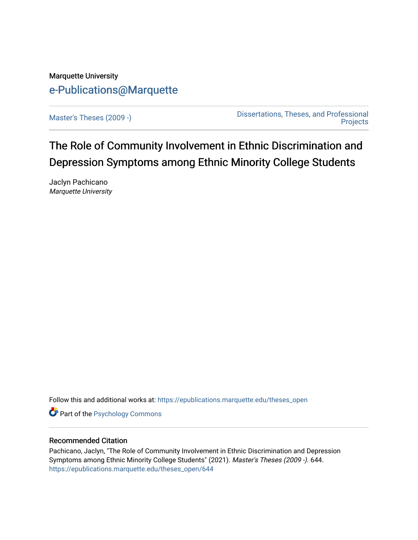# Marquette University [e-Publications@Marquette](https://epublications.marquette.edu/)

[Master's Theses \(2009 -\)](https://epublications.marquette.edu/theses_open) [Dissertations, Theses, and Professional](https://epublications.marquette.edu/diss_theses)  **Projects** 

# The Role of Community Involvement in Ethnic Discrimination and Depression Symptoms among Ethnic Minority College Students

Jaclyn Pachicano Marquette University

Follow this and additional works at: [https://epublications.marquette.edu/theses\\_open](https://epublications.marquette.edu/theses_open?utm_source=epublications.marquette.edu%2Ftheses_open%2F644&utm_medium=PDF&utm_campaign=PDFCoverPages) 

**Part of the Psychology Commons** 

## Recommended Citation

Pachicano, Jaclyn, "The Role of Community Involvement in Ethnic Discrimination and Depression Symptoms among Ethnic Minority College Students" (2021). Master's Theses (2009 -). 644. [https://epublications.marquette.edu/theses\\_open/644](https://epublications.marquette.edu/theses_open/644?utm_source=epublications.marquette.edu%2Ftheses_open%2F644&utm_medium=PDF&utm_campaign=PDFCoverPages)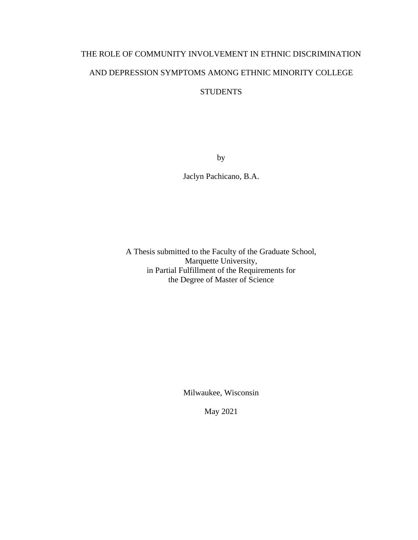# THE ROLE OF COMMUNITY INVOLVEMENT IN ETHNIC DISCRIMINATION AND DEPRESSION SYMPTOMS AMONG ETHNIC MINORITY COLLEGE **STUDENTS**

by

Jaclyn Pachicano, B.A.

A Thesis submitted to the Faculty of the Graduate School, Marquette University, in Partial Fulfillment of the Requirements for the Degree of Master of Science

Milwaukee, Wisconsin

May 2021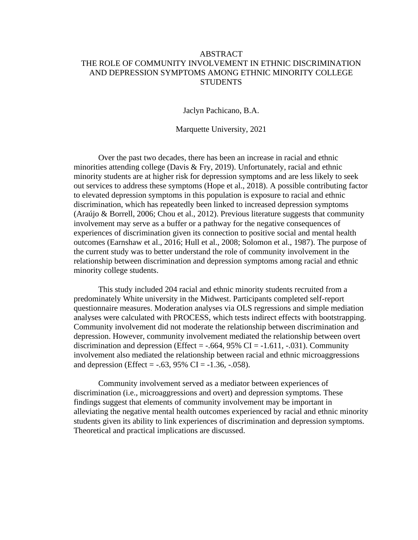# ABSTRACT THE ROLE OF COMMUNITY INVOLVEMENT IN ETHNIC DISCRIMINATION AND DEPRESSION SYMPTOMS AMONG ETHNIC MINORITY COLLEGE **STUDENTS**

Jaclyn Pachicano, B.A.

Marquette University, 2021

Over the past two decades, there has been an increase in racial and ethnic minorities attending college (Davis & Fry, 2019). Unfortunately, racial and ethnic minority students are at higher risk for depression symptoms and are less likely to seek out services to address these symptoms (Hope et al., 2018). A possible contributing factor to elevated depression symptoms in this population is exposure to racial and ethnic discrimination, which has repeatedly been linked to increased depression symptoms (Araújo & Borrell, 2006; Chou et al., 2012). Previous literature suggests that community involvement may serve as a buffer or a pathway for the negative consequences of experiences of discrimination given its connection to positive social and mental health outcomes (Earnshaw et al., 2016; Hull et al., 2008; Solomon et al., 1987). The purpose of the current study was to better understand the role of community involvement in the relationship between discrimination and depression symptoms among racial and ethnic minority college students.

This study included 204 racial and ethnic minority students recruited from a predominately White university in the Midwest. Participants completed self-report questionnaire measures. Moderation analyses via OLS regressions and simple mediation analyses were calculated with PROCESS, which tests indirect effects with bootstrapping. Community involvement did not moderate the relationship between discrimination and depression. However, community involvement mediated the relationship between overt discrimination and depression (Effect =  $-.664$ , 95% CI =  $-1.611$ ,  $-.031$ ). Community involvement also mediated the relationship between racial and ethnic microaggressions and depression (Effect =  $-.63, 95\%$  CI =  $-1.36, -.058$ ).

Community involvement served as a mediator between experiences of discrimination (i.e., microaggressions and overt) and depression symptoms. These findings suggest that elements of community involvement may be important in alleviating the negative mental health outcomes experienced by racial and ethnic minority students given its ability to link experiences of discrimination and depression symptoms. Theoretical and practical implications are discussed.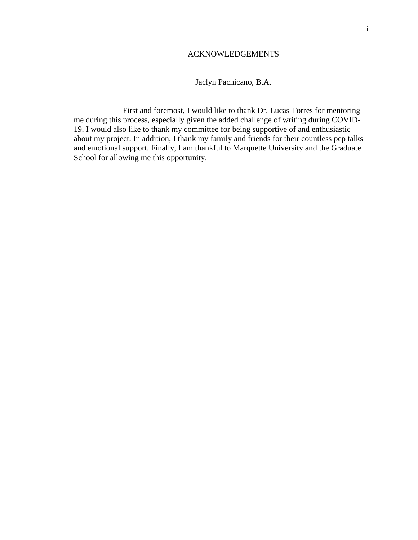## ACKNOWLEDGEMENTS

## Jaclyn Pachicano, B.A.

First and foremost, I would like to thank Dr. Lucas Torres for mentoring me during this process, especially given the added challenge of writing during COVID-19. I would also like to thank my committee for being supportive of and enthusiastic about my project. In addition, I thank my family and friends for their countless pep talks and emotional support. Finally, I am thankful to Marquette University and the Graduate School for allowing me this opportunity.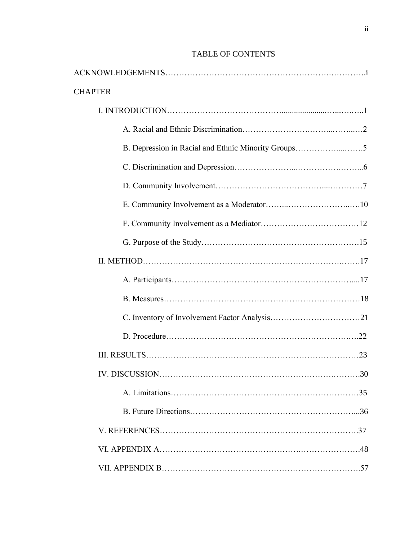| <b>CHAPTER</b> |                                                     |     |
|----------------|-----------------------------------------------------|-----|
|                |                                                     |     |
|                |                                                     |     |
|                | B. Depression in Racial and Ethnic Minority Groups5 |     |
|                |                                                     |     |
|                |                                                     |     |
|                |                                                     |     |
|                |                                                     |     |
|                |                                                     |     |
|                |                                                     |     |
|                |                                                     |     |
|                |                                                     |     |
|                |                                                     |     |
|                |                                                     |     |
|                |                                                     |     |
|                |                                                     | .30 |
|                |                                                     |     |
|                |                                                     |     |
|                |                                                     |     |
|                |                                                     |     |
|                |                                                     |     |

# TABLE OF CONTENTS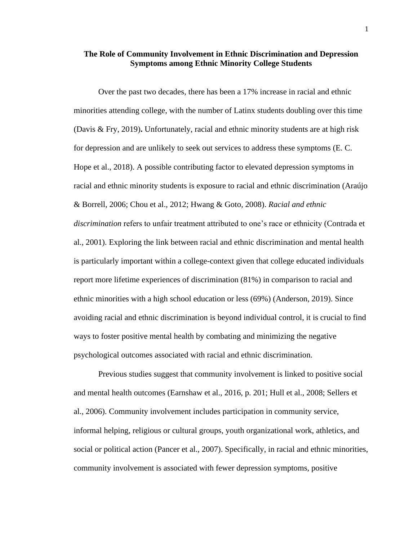## **The Role of Community Involvement in Ethnic Discrimination and Depression Symptoms among Ethnic Minority College Students**

Over the past two decades, there has been a 17% increase in racial and ethnic minorities attending college, with the number of Latinx students doubling over this time (Davis & Fry, 2019)**.** Unfortunately, racial and ethnic minority students are at high risk for depression and are unlikely to seek out services to address these symptoms (E. C. Hope et al., 2018). A possible contributing factor to elevated depression symptoms in racial and ethnic minority students is exposure to racial and ethnic discrimination (Araújo & Borrell, 2006; Chou et al., 2012; Hwang & Goto, 2008). *Racial and ethnic discrimination* refers to unfair treatment attributed to one's race or ethnicity (Contrada et al., 2001). Exploring the link between racial and ethnic discrimination and mental health is particularly important within a college-context given that college educated individuals report more lifetime experiences of discrimination (81%) in comparison to racial and ethnic minorities with a high school education or less (69%) (Anderson, 2019). Since avoiding racial and ethnic discrimination is beyond individual control, it is crucial to find ways to foster positive mental health by combating and minimizing the negative psychological outcomes associated with racial and ethnic discrimination.

Previous studies suggest that community involvement is linked to positive social and mental health outcomes (Earnshaw et al., 2016, p. 201; Hull et al., 2008; Sellers et al., 2006). Community involvement includes participation in community service, informal helping, religious or cultural groups, youth organizational work, athletics, and social or political action (Pancer et al., 2007). Specifically, in racial and ethnic minorities, community involvement is associated with fewer depression symptoms, positive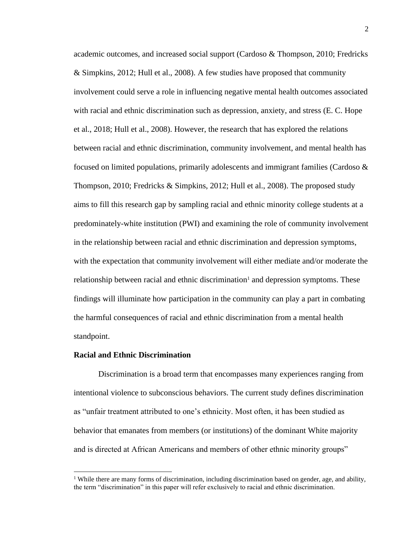academic outcomes, and increased social support (Cardoso & Thompson, 2010; Fredricks & Simpkins, 2012; Hull et al., 2008). A few studies have proposed that community involvement could serve a role in influencing negative mental health outcomes associated with racial and ethnic discrimination such as depression, anxiety, and stress (E. C. Hope et al., 2018; Hull et al., 2008). However, the research that has explored the relations between racial and ethnic discrimination, community involvement, and mental health has focused on limited populations, primarily adolescents and immigrant families (Cardoso  $\&$ Thompson, 2010; Fredricks & Simpkins, 2012; Hull et al., 2008). The proposed study aims to fill this research gap by sampling racial and ethnic minority college students at a predominately-white institution (PWI) and examining the role of community involvement in the relationship between racial and ethnic discrimination and depression symptoms, with the expectation that community involvement will either mediate and/or moderate the relationship between racial and ethnic discrimination<sup>1</sup> and depression symptoms. These findings will illuminate how participation in the community can play a part in combating the harmful consequences of racial and ethnic discrimination from a mental health standpoint.

#### **Racial and Ethnic Discrimination**

Discrimination is a broad term that encompasses many experiences ranging from intentional violence to subconscious behaviors. The current study defines discrimination as "unfair treatment attributed to one's ethnicity. Most often, it has been studied as behavior that emanates from members (or institutions) of the dominant White majority and is directed at African Americans and members of other ethnic minority groups"

<sup>&</sup>lt;sup>1</sup> While there are many forms of discrimination, including discrimination based on gender, age, and ability, the term "discrimination" in this paper will refer exclusively to racial and ethnic discrimination.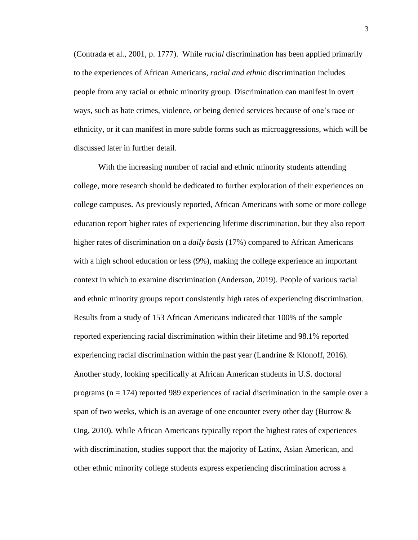(Contrada et al., 2001, p. 1777). While *racial* discrimination has been applied primarily to the experiences of African Americans, *racial and ethnic* discrimination includes people from any racial or ethnic minority group. Discrimination can manifest in overt ways, such as hate crimes, violence, or being denied services because of one's race or ethnicity, or it can manifest in more subtle forms such as microaggressions, which will be discussed later in further detail.

With the increasing number of racial and ethnic minority students attending college, more research should be dedicated to further exploration of their experiences on college campuses. As previously reported, African Americans with some or more college education report higher rates of experiencing lifetime discrimination, but they also report higher rates of discrimination on a *daily basis* (17%) compared to African Americans with a high school education or less (9%), making the college experience an important context in which to examine discrimination (Anderson, 2019). People of various racial and ethnic minority groups report consistently high rates of experiencing discrimination. Results from a study of 153 African Americans indicated that 100% of the sample reported experiencing racial discrimination within their lifetime and 98.1% reported experiencing racial discrimination within the past year (Landrine & Klonoff, 2016). Another study, looking specifically at African American students in U.S. doctoral programs ( $n = 174$ ) reported 989 experiences of racial discrimination in the sample over a span of two weeks, which is an average of one encounter every other day (Burrow & Ong, 2010). While African Americans typically report the highest rates of experiences with discrimination, studies support that the majority of Latinx, Asian American, and other ethnic minority college students express experiencing discrimination across a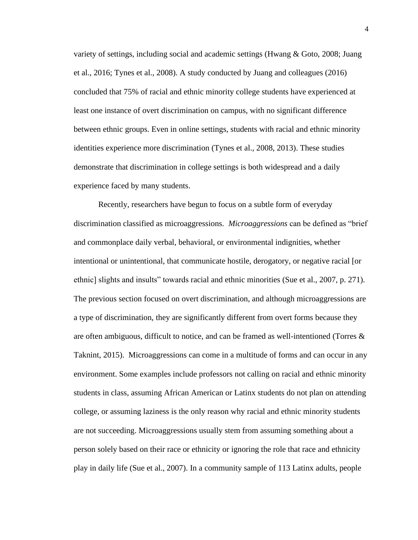variety of settings, including social and academic settings (Hwang & Goto, 2008; Juang et al., 2016; Tynes et al., 2008). A study conducted by Juang and colleagues (2016) concluded that 75% of racial and ethnic minority college students have experienced at least one instance of overt discrimination on campus, with no significant difference between ethnic groups. Even in online settings, students with racial and ethnic minority identities experience more discrimination (Tynes et al., 2008, 2013). These studies demonstrate that discrimination in college settings is both widespread and a daily experience faced by many students.

Recently, researchers have begun to focus on a subtle form of everyday discrimination classified as microaggressions. *Microaggressions* can be defined as "brief and commonplace daily verbal, behavioral, or environmental indignities, whether intentional or unintentional, that communicate hostile, derogatory, or negative racial [or ethnic] slights and insults" towards racial and ethnic minorities (Sue et al., 2007, p. 271). The previous section focused on overt discrimination, and although microaggressions are a type of discrimination, they are significantly different from overt forms because they are often ambiguous, difficult to notice, and can be framed as well-intentioned (Torres  $\&$ Taknint, 2015). Microaggressions can come in a multitude of forms and can occur in any environment. Some examples include professors not calling on racial and ethnic minority students in class, assuming African American or Latinx students do not plan on attending college, or assuming laziness is the only reason why racial and ethnic minority students are not succeeding. Microaggressions usually stem from assuming something about a person solely based on their race or ethnicity or ignoring the role that race and ethnicity play in daily life (Sue et al., 2007). In a community sample of 113 Latinx adults, people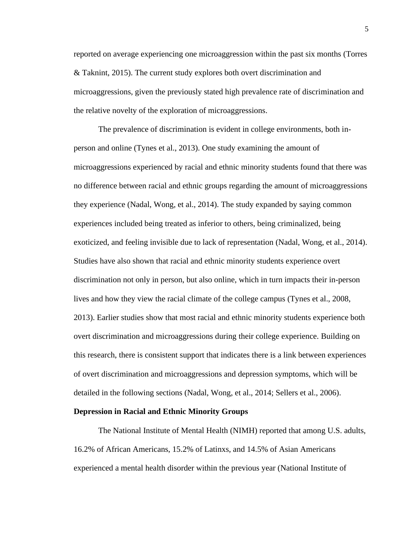reported on average experiencing one microaggression within the past six months (Torres & Taknint, 2015). The current study explores both overt discrimination and microaggressions, given the previously stated high prevalence rate of discrimination and the relative novelty of the exploration of microaggressions.

The prevalence of discrimination is evident in college environments, both inperson and online (Tynes et al., 2013). One study examining the amount of microaggressions experienced by racial and ethnic minority students found that there was no difference between racial and ethnic groups regarding the amount of microaggressions they experience (Nadal, Wong, et al., 2014). The study expanded by saying common experiences included being treated as inferior to others, being criminalized, being exoticized, and feeling invisible due to lack of representation (Nadal, Wong, et al., 2014). Studies have also shown that racial and ethnic minority students experience overt discrimination not only in person, but also online, which in turn impacts their in-person lives and how they view the racial climate of the college campus (Tynes et al., 2008, 2013). Earlier studies show that most racial and ethnic minority students experience both overt discrimination and microaggressions during their college experience. Building on this research, there is consistent support that indicates there is a link between experiences of overt discrimination and microaggressions and depression symptoms, which will be detailed in the following sections (Nadal, Wong, et al., 2014; Sellers et al., 2006).

#### **Depression in Racial and Ethnic Minority Groups**

The National Institute of Mental Health (NIMH) reported that among U.S. adults, 16.2% of African Americans, 15.2% of Latinxs, and 14.5% of Asian Americans experienced a mental health disorder within the previous year (National Institute of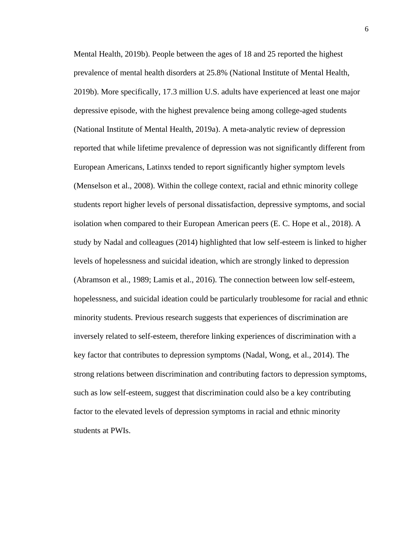Mental Health, 2019b). People between the ages of 18 and 25 reported the highest prevalence of mental health disorders at 25.8% (National Institute of Mental Health, 2019b). More specifically, 17.3 million U.S. adults have experienced at least one major depressive episode, with the highest prevalence being among college-aged students (National Institute of Mental Health, 2019a). A meta-analytic review of depression reported that while lifetime prevalence of depression was not significantly different from European Americans, Latinxs tended to report significantly higher symptom levels (Menselson et al., 2008). Within the college context, racial and ethnic minority college students report higher levels of personal dissatisfaction, depressive symptoms, and social isolation when compared to their European American peers (E. C. Hope et al., 2018). A study by Nadal and colleagues (2014) highlighted that low self-esteem is linked to higher levels of hopelessness and suicidal ideation, which are strongly linked to depression (Abramson et al., 1989; Lamis et al., 2016). The connection between low self-esteem, hopelessness, and suicidal ideation could be particularly troublesome for racial and ethnic minority students. Previous research suggests that experiences of discrimination are inversely related to self-esteem, therefore linking experiences of discrimination with a key factor that contributes to depression symptoms (Nadal, Wong, et al., 2014). The strong relations between discrimination and contributing factors to depression symptoms, such as low self-esteem, suggest that discrimination could also be a key contributing factor to the elevated levels of depression symptoms in racial and ethnic minority students at PWIs.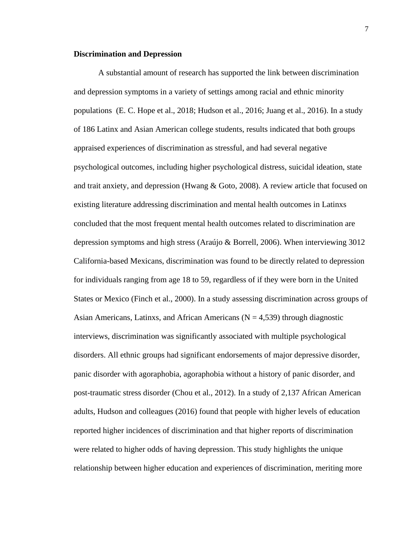#### **Discrimination and Depression**

A substantial amount of research has supported the link between discrimination and depression symptoms in a variety of settings among racial and ethnic minority populations (E. C. Hope et al., 2018; Hudson et al., 2016; Juang et al., 2016). In a study of 186 Latinx and Asian American college students, results indicated that both groups appraised experiences of discrimination as stressful, and had several negative psychological outcomes, including higher psychological distress, suicidal ideation, state and trait anxiety, and depression (Hwang & Goto, 2008). A review article that focused on existing literature addressing discrimination and mental health outcomes in Latinxs concluded that the most frequent mental health outcomes related to discrimination are depression symptoms and high stress (Araújo & Borrell, 2006). When interviewing 3012 California-based Mexicans, discrimination was found to be directly related to depression for individuals ranging from age 18 to 59, regardless of if they were born in the United States or Mexico (Finch et al., 2000). In a study assessing discrimination across groups of Asian Americans, Latinxs, and African Americans ( $N = 4,539$ ) through diagnostic interviews, discrimination was significantly associated with multiple psychological disorders. All ethnic groups had significant endorsements of major depressive disorder, panic disorder with agoraphobia, agoraphobia without a history of panic disorder, and post-traumatic stress disorder (Chou et al., 2012). In a study of 2,137 African American adults, Hudson and colleagues (2016) found that people with higher levels of education reported higher incidences of discrimination and that higher reports of discrimination were related to higher odds of having depression. This study highlights the unique relationship between higher education and experiences of discrimination, meriting more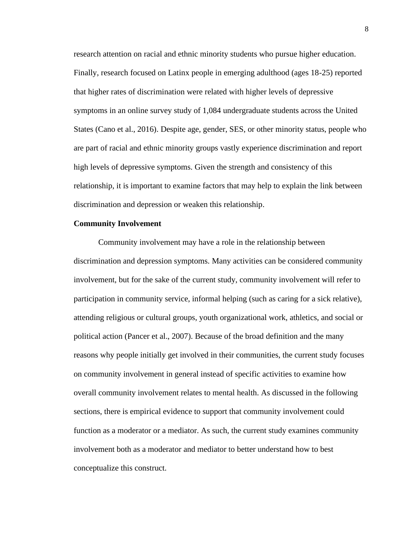research attention on racial and ethnic minority students who pursue higher education. Finally, research focused on Latinx people in emerging adulthood (ages 18-25) reported that higher rates of discrimination were related with higher levels of depressive symptoms in an online survey study of 1,084 undergraduate students across the United States (Cano et al., 2016). Despite age, gender, SES, or other minority status, people who are part of racial and ethnic minority groups vastly experience discrimination and report high levels of depressive symptoms. Given the strength and consistency of this relationship, it is important to examine factors that may help to explain the link between discrimination and depression or weaken this relationship.

#### **Community Involvement**

Community involvement may have a role in the relationship between discrimination and depression symptoms. Many activities can be considered community involvement, but for the sake of the current study, community involvement will refer to participation in community service, informal helping (such as caring for a sick relative), attending religious or cultural groups, youth organizational work, athletics, and social or political action (Pancer et al., 2007). Because of the broad definition and the many reasons why people initially get involved in their communities, the current study focuses on community involvement in general instead of specific activities to examine how overall community involvement relates to mental health. As discussed in the following sections, there is empirical evidence to support that community involvement could function as a moderator or a mediator. As such, the current study examines community involvement both as a moderator and mediator to better understand how to best conceptualize this construct.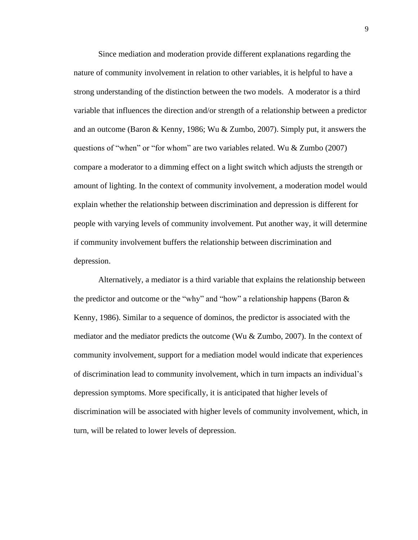Since mediation and moderation provide different explanations regarding the nature of community involvement in relation to other variables, it is helpful to have a strong understanding of the distinction between the two models. A moderator is a third variable that influences the direction and/or strength of a relationship between a predictor and an outcome (Baron & Kenny, 1986; Wu & Zumbo, 2007). Simply put, it answers the questions of "when" or "for whom" are two variables related. Wu & Zumbo (2007) compare a moderator to a dimming effect on a light switch which adjusts the strength or amount of lighting. In the context of community involvement, a moderation model would explain whether the relationship between discrimination and depression is different for people with varying levels of community involvement. Put another way, it will determine if community involvement buffers the relationship between discrimination and depression.

Alternatively, a mediator is a third variable that explains the relationship between the predictor and outcome or the "why" and "how" a relationship happens (Baron & Kenny, 1986). Similar to a sequence of dominos, the predictor is associated with the mediator and the mediator predicts the outcome (Wu & Zumbo, 2007). In the context of community involvement, support for a mediation model would indicate that experiences of discrimination lead to community involvement, which in turn impacts an individual's depression symptoms. More specifically, it is anticipated that higher levels of discrimination will be associated with higher levels of community involvement, which, in turn, will be related to lower levels of depression.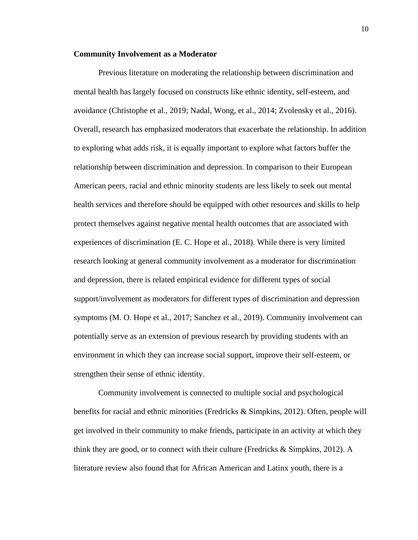#### **Community Involvement as a Moderator**

Previous literature on moderating the relationship between discrimination and mental health has largely focused on constructs like ethnic identity, self-esteem, and avoidance (Christophe et al., 2019; Nadal, Wong, et al., 2014; Zvolensky et al., 2016). Overall, research has emphasized moderators that exacerbate the relationship. In addition to exploring what adds risk, it is equally important to explore what factors buffer the relationship between discrimination and depression. In comparison to their European American peers, racial and ethnic minority students are less likely to seek out mental health services and therefore should be equipped with other resources and skills to help protect themselves against negative mental health outcomes that are associated with experiences of discrimination (E. C. Hope et al., 2018). While there is very limited research looking at general community involvement as a moderator for discrimination and depression, there is related empirical evidence for different types of social support/involvement as moderators for different types of discrimination and depression symptoms (M. O. Hope et al., 2017; Sanchez et al., 2019). Community involvement can potentially serve as an extension of previous research by providing students with an environment in which they can increase social support, improve their self-esteem, or strengthen their sense of ethnic identity.

Community involvement is connected to multiple social and psychological benefits for racial and ethnic minorities (Fredricks  $\&$  Simpkins, 2012). Often, people will get involved in their community to make friends, participate in an activity at which they think they are good, or to connect with their culture (Fredricks & Simpkins, 2012). A literature review also found that for African American and Latinx youth, there is a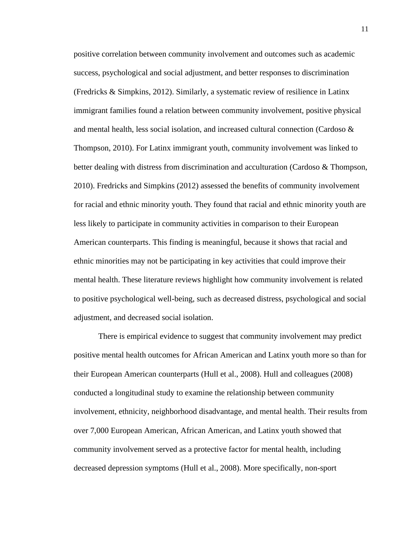positive correlation between community involvement and outcomes such as academic success, psychological and social adjustment, and better responses to discrimination (Fredricks & Simpkins, 2012). Similarly, a systematic review of resilience in Latinx immigrant families found a relation between community involvement, positive physical and mental health, less social isolation, and increased cultural connection (Cardoso  $\&$ Thompson, 2010). For Latinx immigrant youth, community involvement was linked to better dealing with distress from discrimination and acculturation (Cardoso  $\&$  Thompson, 2010). Fredricks and Simpkins (2012) assessed the benefits of community involvement for racial and ethnic minority youth. They found that racial and ethnic minority youth are less likely to participate in community activities in comparison to their European American counterparts. This finding is meaningful, because it shows that racial and ethnic minorities may not be participating in key activities that could improve their mental health. These literature reviews highlight how community involvement is related to positive psychological well-being, such as decreased distress, psychological and social adjustment, and decreased social isolation.

There is empirical evidence to suggest that community involvement may predict positive mental health outcomes for African American and Latinx youth more so than for their European American counterparts (Hull et al., 2008). Hull and colleagues (2008) conducted a longitudinal study to examine the relationship between community involvement, ethnicity, neighborhood disadvantage, and mental health. Their results from over 7,000 European American, African American, and Latinx youth showed that community involvement served as a protective factor for mental health, including decreased depression symptoms (Hull et al., 2008). More specifically, non-sport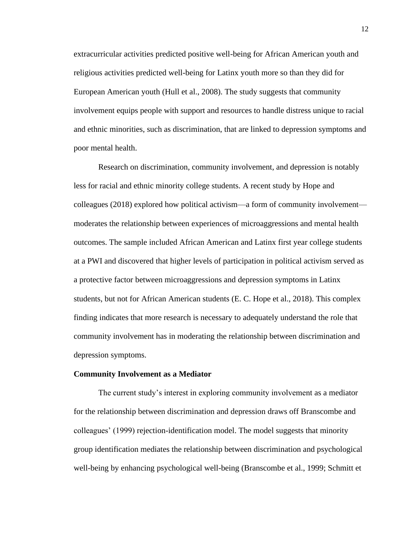extracurricular activities predicted positive well-being for African American youth and religious activities predicted well-being for Latinx youth more so than they did for European American youth (Hull et al., 2008). The study suggests that community involvement equips people with support and resources to handle distress unique to racial and ethnic minorities, such as discrimination, that are linked to depression symptoms and poor mental health.

Research on discrimination, community involvement, and depression is notably less for racial and ethnic minority college students. A recent study by Hope and colleagues (2018) explored how political activism—a form of community involvement moderates the relationship between experiences of microaggressions and mental health outcomes. The sample included African American and Latinx first year college students at a PWI and discovered that higher levels of participation in political activism served as a protective factor between microaggressions and depression symptoms in Latinx students, but not for African American students (E. C. Hope et al., 2018). This complex finding indicates that more research is necessary to adequately understand the role that community involvement has in moderating the relationship between discrimination and depression symptoms.

#### **Community Involvement as a Mediator**

The current study's interest in exploring community involvement as a mediator for the relationship between discrimination and depression draws off Branscombe and colleagues' (1999) rejection-identification model. The model suggests that minority group identification mediates the relationship between discrimination and psychological well-being by enhancing psychological well-being (Branscombe et al., 1999; Schmitt et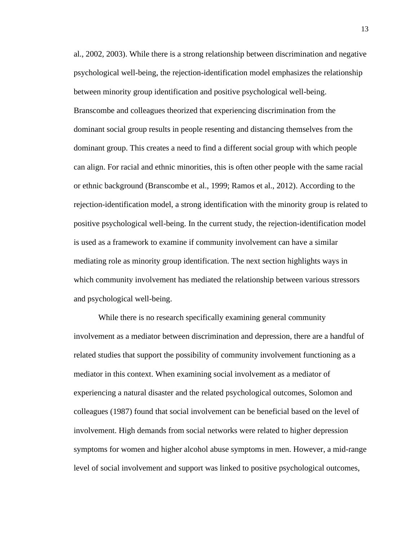al., 2002, 2003). While there is a strong relationship between discrimination and negative psychological well-being, the rejection-identification model emphasizes the relationship between minority group identification and positive psychological well-being. Branscombe and colleagues theorized that experiencing discrimination from the dominant social group results in people resenting and distancing themselves from the dominant group. This creates a need to find a different social group with which people can align. For racial and ethnic minorities, this is often other people with the same racial or ethnic background (Branscombe et al., 1999; Ramos et al., 2012). According to the rejection-identification model, a strong identification with the minority group is related to positive psychological well-being. In the current study, the rejection-identification model is used as a framework to examine if community involvement can have a similar mediating role as minority group identification. The next section highlights ways in which community involvement has mediated the relationship between various stressors and psychological well-being.

While there is no research specifically examining general community involvement as a mediator between discrimination and depression, there are a handful of related studies that support the possibility of community involvement functioning as a mediator in this context. When examining social involvement as a mediator of experiencing a natural disaster and the related psychological outcomes, Solomon and colleagues (1987) found that social involvement can be beneficial based on the level of involvement. High demands from social networks were related to higher depression symptoms for women and higher alcohol abuse symptoms in men. However, a mid-range level of social involvement and support was linked to positive psychological outcomes,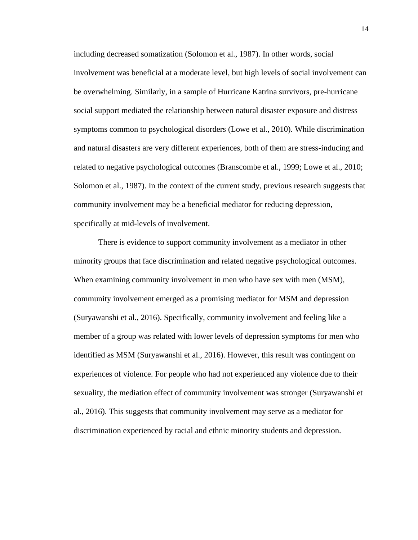including decreased somatization (Solomon et al., 1987). In other words, social involvement was beneficial at a moderate level, but high levels of social involvement can be overwhelming. Similarly, in a sample of Hurricane Katrina survivors, pre-hurricane social support mediated the relationship between natural disaster exposure and distress symptoms common to psychological disorders (Lowe et al., 2010). While discrimination and natural disasters are very different experiences, both of them are stress-inducing and related to negative psychological outcomes (Branscombe et al., 1999; Lowe et al., 2010; Solomon et al., 1987). In the context of the current study, previous research suggests that community involvement may be a beneficial mediator for reducing depression, specifically at mid-levels of involvement.

There is evidence to support community involvement as a mediator in other minority groups that face discrimination and related negative psychological outcomes. When examining community involvement in men who have sex with men (MSM), community involvement emerged as a promising mediator for MSM and depression (Suryawanshi et al., 2016). Specifically, community involvement and feeling like a member of a group was related with lower levels of depression symptoms for men who identified as MSM (Suryawanshi et al., 2016). However, this result was contingent on experiences of violence. For people who had not experienced any violence due to their sexuality, the mediation effect of community involvement was stronger (Suryawanshi et al., 2016). This suggests that community involvement may serve as a mediator for discrimination experienced by racial and ethnic minority students and depression.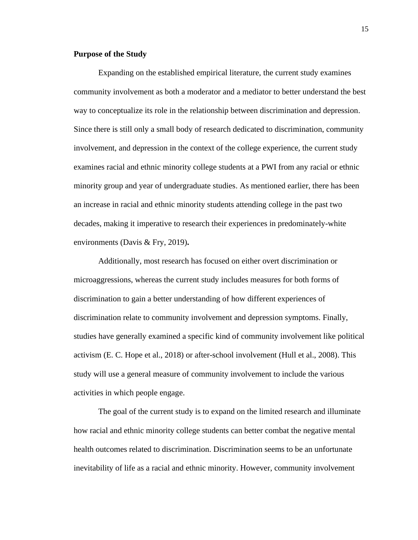#### **Purpose of the Study**

Expanding on the established empirical literature, the current study examines community involvement as both a moderator and a mediator to better understand the best way to conceptualize its role in the relationship between discrimination and depression. Since there is still only a small body of research dedicated to discrimination, community involvement, and depression in the context of the college experience, the current study examines racial and ethnic minority college students at a PWI from any racial or ethnic minority group and year of undergraduate studies. As mentioned earlier, there has been an increase in racial and ethnic minority students attending college in the past two decades, making it imperative to research their experiences in predominately-white environments (Davis & Fry, 2019)**.**

Additionally, most research has focused on either overt discrimination or microaggressions, whereas the current study includes measures for both forms of discrimination to gain a better understanding of how different experiences of discrimination relate to community involvement and depression symptoms. Finally, studies have generally examined a specific kind of community involvement like political activism (E. C. Hope et al., 2018) or after-school involvement (Hull et al., 2008). This study will use a general measure of community involvement to include the various activities in which people engage.

The goal of the current study is to expand on the limited research and illuminate how racial and ethnic minority college students can better combat the negative mental health outcomes related to discrimination. Discrimination seems to be an unfortunate inevitability of life as a racial and ethnic minority. However, community involvement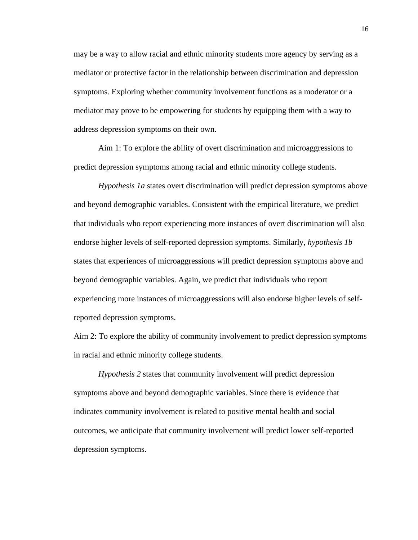may be a way to allow racial and ethnic minority students more agency by serving as a mediator or protective factor in the relationship between discrimination and depression symptoms. Exploring whether community involvement functions as a moderator or a mediator may prove to be empowering for students by equipping them with a way to address depression symptoms on their own.

Aim 1: To explore the ability of overt discrimination and microaggressions to predict depression symptoms among racial and ethnic minority college students.

*Hypothesis 1a* states overt discrimination will predict depression symptoms above and beyond demographic variables. Consistent with the empirical literature, we predict that individuals who report experiencing more instances of overt discrimination will also endorse higher levels of self-reported depression symptoms. Similarly, *hypothesis 1b*  states that experiences of microaggressions will predict depression symptoms above and beyond demographic variables. Again, we predict that individuals who report experiencing more instances of microaggressions will also endorse higher levels of selfreported depression symptoms.

Aim 2: To explore the ability of community involvement to predict depression symptoms in racial and ethnic minority college students.

*Hypothesis 2* states that community involvement will predict depression symptoms above and beyond demographic variables. Since there is evidence that indicates community involvement is related to positive mental health and social outcomes, we anticipate that community involvement will predict lower self-reported depression symptoms.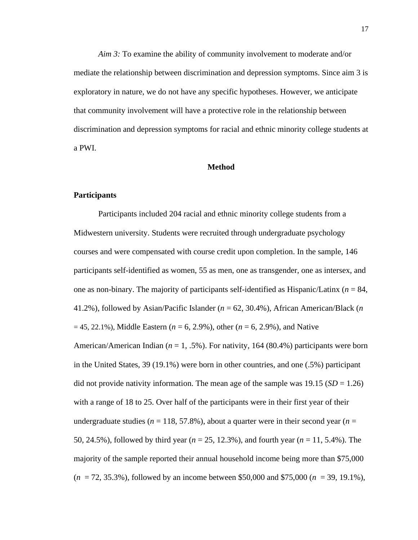*Aim 3:* To examine the ability of community involvement to moderate and/or mediate the relationship between discrimination and depression symptoms. Since aim 3 is exploratory in nature, we do not have any specific hypotheses. However, we anticipate that community involvement will have a protective role in the relationship between discrimination and depression symptoms for racial and ethnic minority college students at a PWI.

#### **Method**

#### **Participants**

Participants included 204 racial and ethnic minority college students from a Midwestern university. Students were recruited through undergraduate psychology courses and were compensated with course credit upon completion. In the sample, 146 participants self-identified as women, 55 as men, one as transgender, one as intersex, and one as non-binary. The majority of participants self-identified as Hispanic/Latinx (*n* = 84, 41.2%), followed by Asian/Pacific Islander (*n* = 62, 30.4%), African American/Black (*n*  $= 45, 22.1\%$ ), Middle Eastern ( $n = 6, 2.9\%$ ), other ( $n = 6, 2.9\%$ ), and Native American/American Indian (*n* = 1, .5%). For nativity, 164 (80.4%) participants were born in the United States, 39 (19.1%) were born in other countries, and one (.5%) participant did not provide nativity information. The mean age of the sample was 19.15 (*SD* = 1.26) with a range of 18 to 25. Over half of the participants were in their first year of their undergraduate studies ( $n = 118, 57.8\%$ ), about a quarter were in their second year ( $n =$ 50, 24.5%), followed by third year (*n* = 25, 12.3%), and fourth year (*n* = 11, 5.4%). The majority of the sample reported their annual household income being more than \$75,000 (*n* = 72, 35.3%), followed by an income between \$50,000 and \$75,000 (*n* = 39, 19.1%),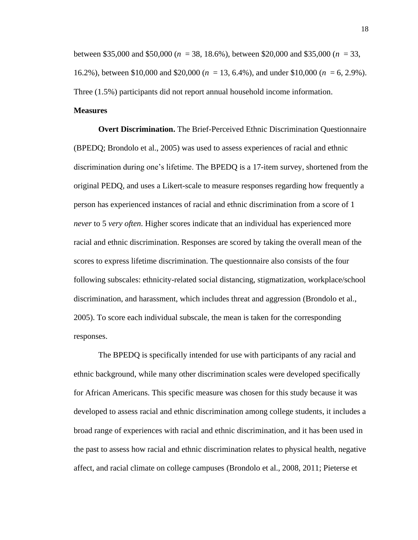between \$35,000 and \$50,000 (*n* = 38, 18.6%), between \$20,000 and \$35,000 (*n* = 33, 16.2%), between \$10,000 and \$20,000 (*n* = 13, 6.4%), and under \$10,000 (*n* = 6, 2.9%). Three (1.5%) participants did not report annual household income information.

## **Measures**

**Overt Discrimination.** The Brief-Perceived Ethnic Discrimination Questionnaire (BPEDQ; Brondolo et al., 2005) was used to assess experiences of racial and ethnic discrimination during one's lifetime. The BPEDQ is a 17-item survey, shortened from the original PEDQ, and uses a Likert-scale to measure responses regarding how frequently a person has experienced instances of racial and ethnic discrimination from a score of 1 *never* to 5 *very often*. Higher scores indicate that an individual has experienced more racial and ethnic discrimination. Responses are scored by taking the overall mean of the scores to express lifetime discrimination. The questionnaire also consists of the four following subscales: ethnicity-related social distancing, stigmatization, workplace/school discrimination, and harassment, which includes threat and aggression (Brondolo et al., 2005). To score each individual subscale, the mean is taken for the corresponding responses.

The BPEDQ is specifically intended for use with participants of any racial and ethnic background, while many other discrimination scales were developed specifically for African Americans. This specific measure was chosen for this study because it was developed to assess racial and ethnic discrimination among college students, it includes a broad range of experiences with racial and ethnic discrimination, and it has been used in the past to assess how racial and ethnic discrimination relates to physical health, negative affect, and racial climate on college campuses (Brondolo et al., 2008, 2011; Pieterse et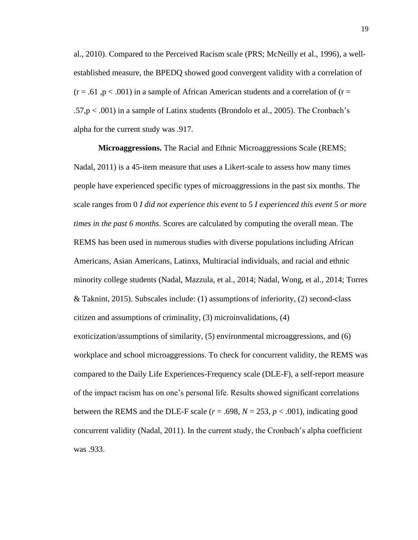al., 2010). Compared to the Perceived Racism scale (PRS; McNeilly et al., 1996), a wellestablished measure, the BPEDQ showed good convergent validity with a correlation of  $(r = .61, p < .001)$  in a sample of African American students and a correlation of  $(r = .61, p < .001)$ .57,p < .001) in a sample of Latinx students (Brondolo et al., 2005). The Cronbach's alpha for the current study was .917.

**Microaggressions.** The Racial and Ethnic Microaggressions Scale (REMS; Nadal, 2011) is a 45-item measure that uses a Likert-scale to assess how many times people have experienced specific types of microaggressions in the past six months. The scale ranges from 0 *I did not experience this event* to 5 *I experienced this event 5 or more times in the past 6 months*. Scores are calculated by computing the overall mean. The REMS has been used in numerous studies with diverse populations including African Americans, Asian Americans, Latinxs, Multiracial individuals, and racial and ethnic minority college students (Nadal, Mazzula, et al., 2014; Nadal, Wong, et al., 2014; Torres & Taknint, 2015). Subscales include: (1) assumptions of inferiority, (2) second-class citizen and assumptions of criminality, (3) microinvalidations, (4) exoticization/assumptions of similarity, (5) environmental microaggressions, and (6) workplace and school microaggressions. To check for concurrent validity, the REMS was compared to the Daily Life Experiences-Frequency scale (DLE-F), a self-report measure of the impact racism has on one's personal life. Results showed significant correlations between the REMS and the DLE-F scale  $(r = .698, N = 253, p < .001)$ , indicating good concurrent validity (Nadal, 2011). In the current study, the Cronbach's alpha coefficient was .933.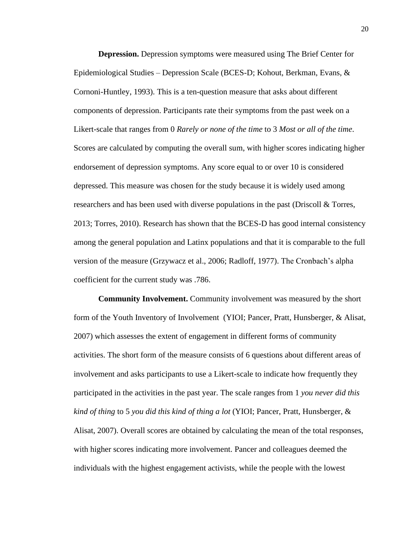**Depression.** Depression symptoms were measured using The Brief Center for Epidemiological Studies – Depression Scale (BCES-D; Kohout, Berkman, Evans, & Cornoni-Huntley, 1993). This is a ten-question measure that asks about different components of depression. Participants rate their symptoms from the past week on a Likert-scale that ranges from 0 *Rarely or none of the time* to 3 *Most or all of the time*. Scores are calculated by computing the overall sum, with higher scores indicating higher endorsement of depression symptoms. Any score equal to or over 10 is considered depressed. This measure was chosen for the study because it is widely used among researchers and has been used with diverse populations in the past (Driscoll  $\&$  Torres, 2013; Torres, 2010). Research has shown that the BCES-D has good internal consistency among the general population and Latinx populations and that it is comparable to the full version of the measure (Grzywacz et al., 2006; Radloff, 1977). The Cronbach's alpha coefficient for the current study was .786.

**Community Involvement.** Community involvement was measured by the short form of the Youth Inventory of Involvement (YIOI; Pancer, Pratt, Hunsberger, & Alisat, 2007) which assesses the extent of engagement in different forms of community activities. The short form of the measure consists of 6 questions about different areas of involvement and asks participants to use a Likert-scale to indicate how frequently they participated in the activities in the past year. The scale ranges from 1 *you never did this kind of thing* to 5 *you did this kind of thing a lot* (YIOI; Pancer, Pratt, Hunsberger, & Alisat, 2007). Overall scores are obtained by calculating the mean of the total responses, with higher scores indicating more involvement. Pancer and colleagues deemed the individuals with the highest engagement activists, while the people with the lowest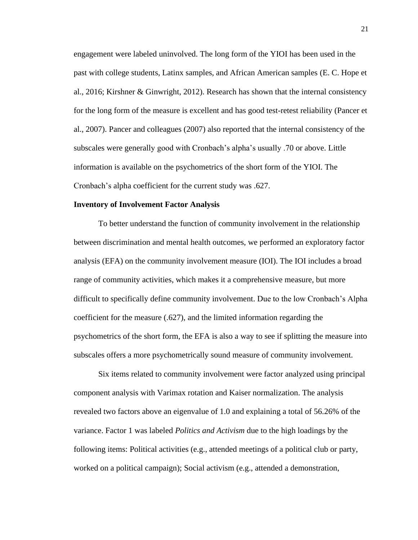engagement were labeled uninvolved. The long form of the YIOI has been used in the past with college students, Latinx samples, and African American samples (E. C. Hope et al., 2016; Kirshner & Ginwright, 2012). Research has shown that the internal consistency for the long form of the measure is excellent and has good test-retest reliability (Pancer et al., 2007). Pancer and colleagues (2007) also reported that the internal consistency of the subscales were generally good with Cronbach's alpha's usually .70 or above. Little information is available on the psychometrics of the short form of the YIOI. The Cronbach's alpha coefficient for the current study was .627.

#### **Inventory of Involvement Factor Analysis**

To better understand the function of community involvement in the relationship between discrimination and mental health outcomes, we performed an exploratory factor analysis (EFA) on the community involvement measure (IOI). The IOI includes a broad range of community activities, which makes it a comprehensive measure, but more difficult to specifically define community involvement. Due to the low Cronbach's Alpha coefficient for the measure (.627), and the limited information regarding the psychometrics of the short form, the EFA is also a way to see if splitting the measure into subscales offers a more psychometrically sound measure of community involvement.

Six items related to community involvement were factor analyzed using principal component analysis with Varimax rotation and Kaiser normalization. The analysis revealed two factors above an eigenvalue of 1.0 and explaining a total of 56.26% of the variance. Factor 1 was labeled *Politics and Activism* due to the high loadings by the following items: Political activities (e.g., attended meetings of a political club or party, worked on a political campaign); Social activism (e.g., attended a demonstration,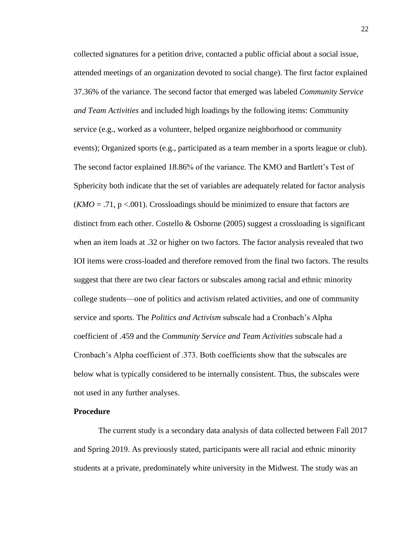collected signatures for a petition drive, contacted a public official about a social issue, attended meetings of an organization devoted to social change). The first factor explained 37.36% of the variance. The second factor that emerged was labeled *Community Service and Team Activities* and included high loadings by the following items: Community service (e.g., worked as a volunteer, helped organize neighborhood or community events); Organized sports (e.g., participated as a team member in a sports league or club). The second factor explained 18.86% of the variance. The KMO and Bartlett's Test of Sphericity both indicate that the set of variables are adequately related for factor analysis  $(KMO = .71, p < .001)$ . Crossloadings should be minimized to ensure that factors are distinct from each other. Costello & Osborne (2005) suggest a crossloading is significant when an item loads at .32 or higher on two factors. The factor analysis revealed that two IOI items were cross-loaded and therefore removed from the final two factors. The results suggest that there are two clear factors or subscales among racial and ethnic minority college students—one of politics and activism related activities, and one of community service and sports. The *Politics and Activism* subscale had a Cronbach's Alpha coefficient of .459 and the *Community Service and Team Activities* subscale had a Cronbach's Alpha coefficient of .373. Both coefficients show that the subscales are below what is typically considered to be internally consistent. Thus, the subscales were not used in any further analyses.

#### **Procedure**

The current study is a secondary data analysis of data collected between Fall 2017 and Spring 2019. As previously stated, participants were all racial and ethnic minority students at a private, predominately white university in the Midwest. The study was an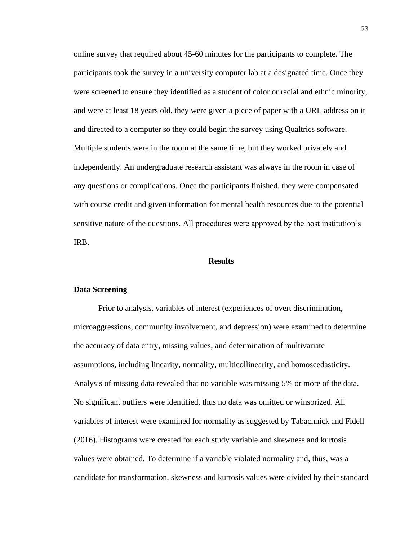online survey that required about 45-60 minutes for the participants to complete. The participants took the survey in a university computer lab at a designated time. Once they were screened to ensure they identified as a student of color or racial and ethnic minority, and were at least 18 years old, they were given a piece of paper with a URL address on it and directed to a computer so they could begin the survey using Qualtrics software. Multiple students were in the room at the same time, but they worked privately and independently. An undergraduate research assistant was always in the room in case of any questions or complications. Once the participants finished, they were compensated with course credit and given information for mental health resources due to the potential sensitive nature of the questions. All procedures were approved by the host institution's IRB.

#### **Results**

#### **Data Screening**

Prior to analysis, variables of interest (experiences of overt discrimination, microaggressions, community involvement, and depression) were examined to determine the accuracy of data entry, missing values, and determination of multivariate assumptions, including linearity, normality, multicollinearity, and homoscedasticity. Analysis of missing data revealed that no variable was missing 5% or more of the data. No significant outliers were identified, thus no data was omitted or winsorized. All variables of interest were examined for normality as suggested by Tabachnick and Fidell (2016). Histograms were created for each study variable and skewness and kurtosis values were obtained. To determine if a variable violated normality and, thus, was a candidate for transformation, skewness and kurtosis values were divided by their standard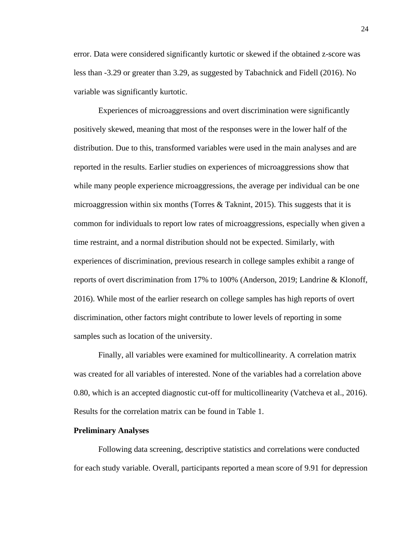error. Data were considered significantly kurtotic or skewed if the obtained z-score was less than -3.29 or greater than 3.29, as suggested by Tabachnick and Fidell (2016). No variable was significantly kurtotic.

Experiences of microaggressions and overt discrimination were significantly positively skewed, meaning that most of the responses were in the lower half of the distribution. Due to this, transformed variables were used in the main analyses and are reported in the results. Earlier studies on experiences of microaggressions show that while many people experience microaggressions, the average per individual can be one microaggression within six months (Torres & Taknint, 2015). This suggests that it is common for individuals to report low rates of microaggressions, especially when given a time restraint, and a normal distribution should not be expected. Similarly, with experiences of discrimination, previous research in college samples exhibit a range of reports of overt discrimination from 17% to 100% (Anderson, 2019; Landrine & Klonoff, 2016). While most of the earlier research on college samples has high reports of overt discrimination, other factors might contribute to lower levels of reporting in some samples such as location of the university.

Finally, all variables were examined for multicollinearity. A correlation matrix was created for all variables of interested. None of the variables had a correlation above 0.80, which is an accepted diagnostic cut-off for multicollinearity (Vatcheva et al., 2016). Results for the correlation matrix can be found in Table 1.

#### **Preliminary Analyses**

Following data screening, descriptive statistics and correlations were conducted for each study variable. Overall, participants reported a mean score of 9.91 for depression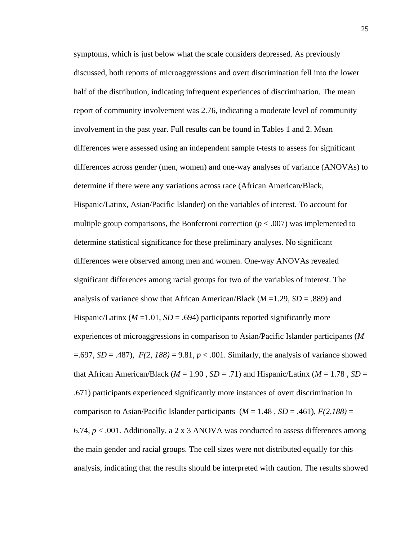symptoms, which is just below what the scale considers depressed. As previously discussed, both reports of microaggressions and overt discrimination fell into the lower half of the distribution, indicating infrequent experiences of discrimination. The mean report of community involvement was 2.76, indicating a moderate level of community involvement in the past year. Full results can be found in Tables 1 and 2. Mean differences were assessed using an independent sample t-tests to assess for significant differences across gender (men, women) and one-way analyses of variance (ANOVAs) to determine if there were any variations across race (African American/Black, Hispanic/Latinx, Asian/Pacific Islander) on the variables of interest. To account for multiple group comparisons, the Bonferroni correction  $(p < .007)$  was implemented to determine statistical significance for these preliminary analyses. No significant differences were observed among men and women. One-way ANOVAs revealed significant differences among racial groups for two of the variables of interest. The analysis of variance show that African American/Black (*M* =1.29, *SD* = .889) and Hispanic/Latinx  $(M=1.01, SD=.694)$  participants reported significantly more experiences of microaggressions in comparison to Asian/Pacific Islander participants (*M*  $=$ .697, *SD* = .487), *F*(2, 188) = 9.81, *p* < .001. Similarly, the analysis of variance showed that African American/Black ( $M = 1.90$ ,  $SD = .71$ ) and Hispanic/Latinx ( $M = 1.78$ ,  $SD =$ .671) participants experienced significantly more instances of overt discrimination in comparison to Asian/Pacific Islander participants  $(M = 1.48, SD = .461), F(2,188) =$ 6.74,  $p < .001$ . Additionally, a 2 x 3 ANOVA was conducted to assess differences among the main gender and racial groups. The cell sizes were not distributed equally for this analysis, indicating that the results should be interpreted with caution. The results showed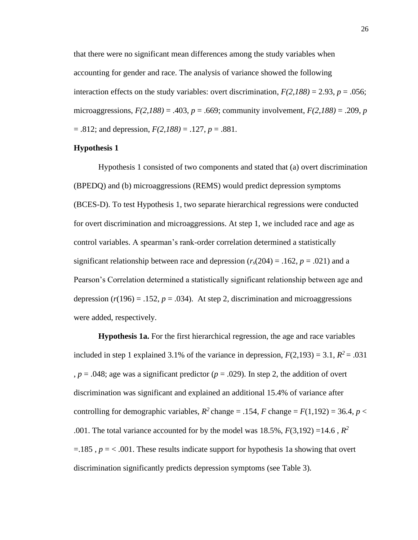that there were no significant mean differences among the study variables when accounting for gender and race. The analysis of variance showed the following interaction effects on the study variables: overt discrimination,  $F(2,188) = 2.93$ ,  $p = .056$ ; microaggressions,  $F(2,188) = .403$ ,  $p = .669$ ; community involvement,  $F(2,188) = .209$ ,  $p = .669$ ;  $= .812$ ; and depression,  $F(2,188) = .127$ ,  $p = .881$ .

#### **Hypothesis 1**

Hypothesis 1 consisted of two components and stated that (a) overt discrimination (BPEDQ) and (b) microaggressions (REMS) would predict depression symptoms (BCES-D). To test Hypothesis 1, two separate hierarchical regressions were conducted for overt discrimination and microaggressions. At step 1, we included race and age as control variables. A spearman's rank-order correlation determined a statistically significant relationship between race and depression  $(r_s(204) = .162, p = .021)$  and a Pearson's Correlation determined a statistically significant relationship between age and depression  $(r(196) = .152, p = .034)$ . At step 2, discrimination and microaggressions were added, respectively.

**Hypothesis 1a.** For the first hierarchical regression, the age and race variables included in step 1 explained 3.1% of the variance in depression,  $F(2,193) = 3.1$ ,  $R^2 = .031$ ,  $p = .048$ ; age was a significant predictor ( $p = .029$ ). In step 2, the addition of overt discrimination was significant and explained an additional 15.4% of variance after controlling for demographic variables,  $R^2$  change = .154, *F* change =  $F(1,192)$  = 36.4, *p* < .001. The total variance accounted for by the model was  $18.5\%$ ,  $F(3,192) = 14.6$ ,  $R^2$  $=185$ ,  $p = 0.001$ . These results indicate support for hypothesis 1a showing that overt discrimination significantly predicts depression symptoms (see Table 3).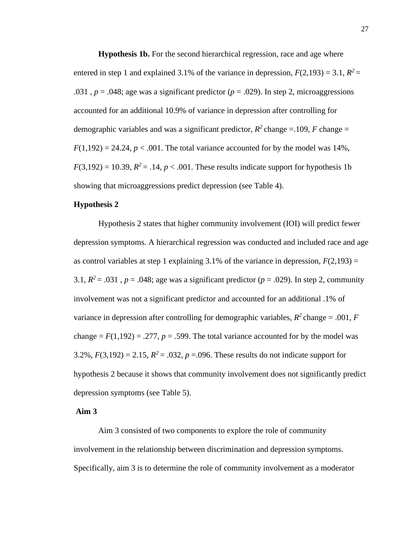**Hypothesis 1b.** For the second hierarchical regression, race and age where entered in step 1 and explained 3.1% of the variance in depression,  $F(2,193) = 3.1$ ,  $R^2 =$ .031,  $p = .048$ ; age was a significant predictor ( $p = .029$ ). In step 2, microaggressions accounted for an additional 10.9% of variance in depression after controlling for demographic variables and was a significant predictor,  $R^2$  change = .109, *F* change =  $F(1,192) = 24.24$ ,  $p < .001$ . The total variance accounted for by the model was 14%,  $F(3,192) = 10.39$ ,  $R^2 = .14$ ,  $p < .001$ . These results indicate support for hypothesis 1b showing that microaggressions predict depression (see Table 4).

#### **Hypothesis 2**

Hypothesis 2 states that higher community involvement (IOI) will predict fewer depression symptoms. A hierarchical regression was conducted and included race and age as control variables at step 1 explaining 3.1% of the variance in depression,  $F(2,193) =$ 3.1,  $R^2$  = .031,  $p = .048$ ; age was a significant predictor ( $p = .029$ ). In step 2, community involvement was not a significant predictor and accounted for an additional .1% of variance in depression after controlling for demographic variables,  $R^2$  change = .001,  $F$ change  $= F(1,192) = .277$ ,  $p = .599$ . The total variance accounted for by the model was 3.2%,  $F(3,192) = 2.15$ ,  $R^2 = .032$ ,  $p = .096$ . These results do not indicate support for hypothesis 2 because it shows that community involvement does not significantly predict depression symptoms (see Table 5).

#### **Aim 3**

Aim 3 consisted of two components to explore the role of community involvement in the relationship between discrimination and depression symptoms. Specifically, aim 3 is to determine the role of community involvement as a moderator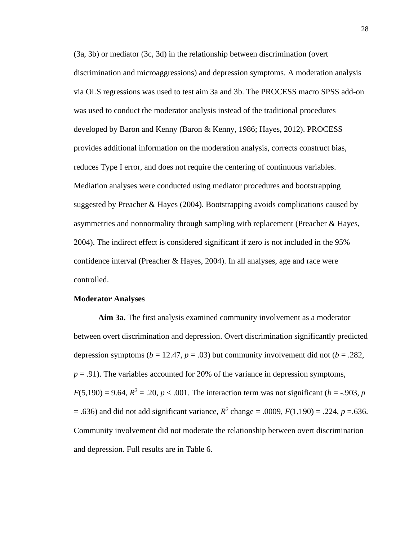(3a, 3b) or mediator (3c, 3d) in the relationship between discrimination (overt discrimination and microaggressions) and depression symptoms. A moderation analysis via OLS regressions was used to test aim 3a and 3b. The PROCESS macro SPSS add-on was used to conduct the moderator analysis instead of the traditional procedures developed by Baron and Kenny (Baron & Kenny, 1986; Hayes, 2012). PROCESS provides additional information on the moderation analysis, corrects construct bias, reduces Type I error, and does not require the centering of continuous variables. Mediation analyses were conducted using mediator procedures and bootstrapping suggested by Preacher & Hayes (2004). Bootstrapping avoids complications caused by asymmetries and nonnormality through sampling with replacement (Preacher & Hayes, 2004). The indirect effect is considered significant if zero is not included in the 95% confidence interval (Preacher & Hayes, 2004). In all analyses, age and race were controlled.

#### **Moderator Analyses**

**Aim 3a.** The first analysis examined community involvement as a moderator between overt discrimination and depression. Overt discrimination significantly predicted depression symptoms ( $b = 12.47$ ,  $p = .03$ ) but community involvement did not ( $b = .282$ ,  $p = .91$ ). The variables accounted for 20% of the variance in depression symptoms,  $F(5,190) = 9.64$ ,  $R^2 = .20$ ,  $p < .001$ . The interaction term was not significant (*b* = -.903, *p*  $=$  .636) and did not add significant variance,  $R^2$  change  $=$  .0009,  $F(1,190) = .224$ ,  $p = .636$ . Community involvement did not moderate the relationship between overt discrimination and depression. Full results are in Table 6.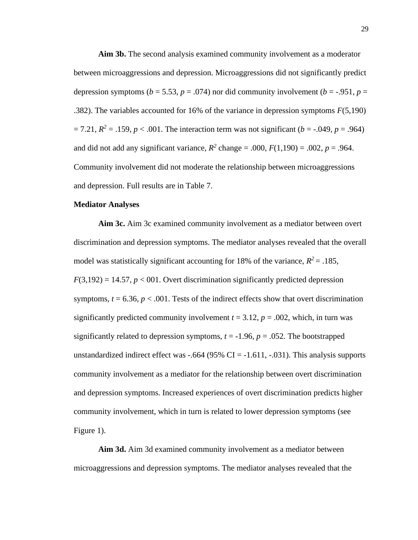**Aim 3b.** The second analysis examined community involvement as a moderator between microaggressions and depression. Microaggressions did not significantly predict depression symptoms ( $b = 5.53$ ,  $p = .074$ ) nor did community involvement ( $b = -.951$ ,  $p =$ .382). The variables accounted for 16% of the variance in depression symptoms *F*(5,190)  $= 7.21, R^2 = .159, p < .001$ . The interaction term was not significant (*b* = -.049, *p* = .964) and did not add any significant variance,  $R^2$  change = .000,  $F(1,190)$  = .002,  $p = .964$ . Community involvement did not moderate the relationship between microaggressions and depression. Full results are in Table 7.

#### **Mediator Analyses**

**Aim 3c.** Aim 3c examined community involvement as a mediator between overt discrimination and depression symptoms. The mediator analyses revealed that the overall model was statistically significant accounting for 18% of the variance,  $R^2 = .185$ ,  $F(3,192) = 14.57, p < 001$ . Overt discrimination significantly predicted depression symptoms,  $t = 6.36$ ,  $p < .001$ . Tests of the indirect effects show that overt discrimination significantly predicted community involvement  $t = 3.12$ ,  $p = .002$ , which, in turn was significantly related to depression symptoms,  $t = -1.96$ ,  $p = .052$ . The bootstrapped unstandardized indirect effect was  $-.664$  (95% CI =  $-1.611, -.031$ ). This analysis supports community involvement as a mediator for the relationship between overt discrimination and depression symptoms. Increased experiences of overt discrimination predicts higher community involvement, which in turn is related to lower depression symptoms (see Figure 1).

**Aim 3d.** Aim 3d examined community involvement as a mediator between microaggressions and depression symptoms. The mediator analyses revealed that the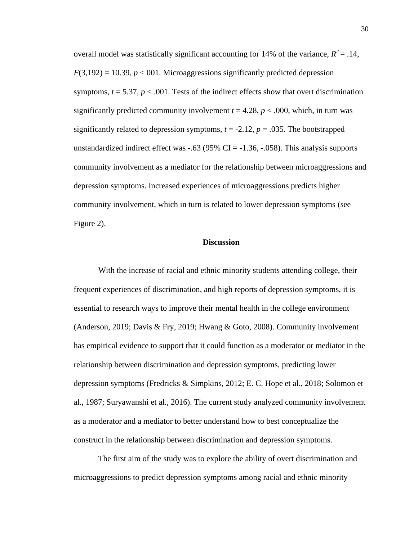overall model was statistically significant accounting for 14% of the variance,  $R^2 = .14$ ,  $F(3,192) = 10.39, p < 001$ . Microaggressions significantly predicted depression symptoms,  $t = 5.37$ ,  $p < .001$ . Tests of the indirect effects show that overt discrimination significantly predicted community involvement  $t = 4.28$ ,  $p < .000$ , which, in turn was significantly related to depression symptoms,  $t = -2.12$ ,  $p = .035$ . The bootstrapped unstandardized indirect effect was  $-.63$  (95% CI =  $-.1.36, -.058$ ). This analysis supports community involvement as a mediator for the relationship between microaggressions and depression symptoms. Increased experiences of microaggressions predicts higher community involvement, which in turn is related to lower depression symptoms (see Figure 2).

#### **Discussion**

With the increase of racial and ethnic minority students attending college, their frequent experiences of discrimination, and high reports of depression symptoms, it is essential to research ways to improve their mental health in the college environment (Anderson, 2019; Davis & Fry, 2019; Hwang & Goto, 2008). Community involvement has empirical evidence to support that it could function as a moderator or mediator in the relationship between discrimination and depression symptoms, predicting lower depression symptoms (Fredricks & Simpkins, 2012; E. C. Hope et al., 2018; Solomon et al., 1987; Suryawanshi et al., 2016). The current study analyzed community involvement as a moderator and a mediator to better understand how to best conceptualize the construct in the relationship between discrimination and depression symptoms.

The first aim of the study was to explore the ability of overt discrimination and microaggressions to predict depression symptoms among racial and ethnic minority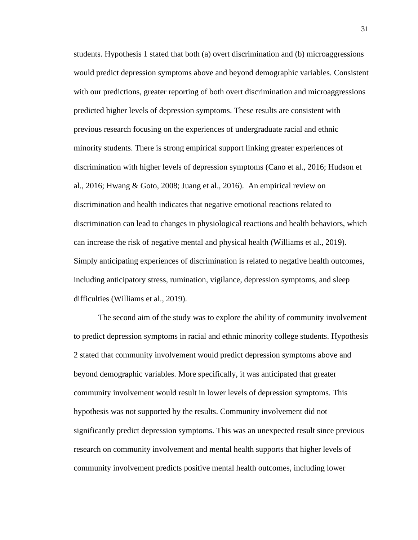students. Hypothesis 1 stated that both (a) overt discrimination and (b) microaggressions would predict depression symptoms above and beyond demographic variables. Consistent with our predictions, greater reporting of both overt discrimination and microaggressions predicted higher levels of depression symptoms. These results are consistent with previous research focusing on the experiences of undergraduate racial and ethnic minority students. There is strong empirical support linking greater experiences of discrimination with higher levels of depression symptoms (Cano et al., 2016; Hudson et al., 2016; Hwang & Goto, 2008; Juang et al., 2016). An empirical review on discrimination and health indicates that negative emotional reactions related to discrimination can lead to changes in physiological reactions and health behaviors, which can increase the risk of negative mental and physical health (Williams et al., 2019). Simply anticipating experiences of discrimination is related to negative health outcomes, including anticipatory stress, rumination, vigilance, depression symptoms, and sleep difficulties (Williams et al., 2019).

The second aim of the study was to explore the ability of community involvement to predict depression symptoms in racial and ethnic minority college students. Hypothesis 2 stated that community involvement would predict depression symptoms above and beyond demographic variables. More specifically, it was anticipated that greater community involvement would result in lower levels of depression symptoms. This hypothesis was not supported by the results. Community involvement did not significantly predict depression symptoms. This was an unexpected result since previous research on community involvement and mental health supports that higher levels of community involvement predicts positive mental health outcomes, including lower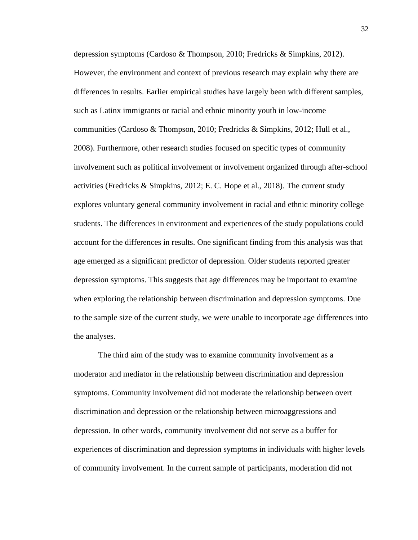depression symptoms (Cardoso & Thompson, 2010; Fredricks & Simpkins, 2012). However, the environment and context of previous research may explain why there are differences in results. Earlier empirical studies have largely been with different samples, such as Latinx immigrants or racial and ethnic minority youth in low-income communities (Cardoso & Thompson, 2010; Fredricks & Simpkins, 2012; Hull et al., 2008). Furthermore, other research studies focused on specific types of community involvement such as political involvement or involvement organized through after-school activities (Fredricks & Simpkins, 2012; E. C. Hope et al., 2018). The current study explores voluntary general community involvement in racial and ethnic minority college students. The differences in environment and experiences of the study populations could account for the differences in results. One significant finding from this analysis was that age emerged as a significant predictor of depression. Older students reported greater depression symptoms. This suggests that age differences may be important to examine when exploring the relationship between discrimination and depression symptoms. Due to the sample size of the current study, we were unable to incorporate age differences into the analyses.

The third aim of the study was to examine community involvement as a moderator and mediator in the relationship between discrimination and depression symptoms. Community involvement did not moderate the relationship between overt discrimination and depression or the relationship between microaggressions and depression. In other words, community involvement did not serve as a buffer for experiences of discrimination and depression symptoms in individuals with higher levels of community involvement. In the current sample of participants, moderation did not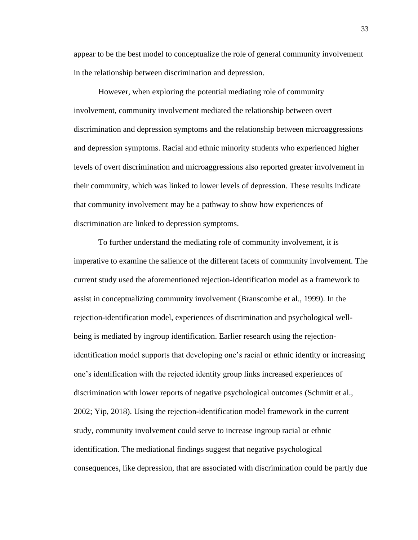appear to be the best model to conceptualize the role of general community involvement in the relationship between discrimination and depression.

However, when exploring the potential mediating role of community involvement, community involvement mediated the relationship between overt discrimination and depression symptoms and the relationship between microaggressions and depression symptoms. Racial and ethnic minority students who experienced higher levels of overt discrimination and microaggressions also reported greater involvement in their community, which was linked to lower levels of depression. These results indicate that community involvement may be a pathway to show how experiences of discrimination are linked to depression symptoms.

To further understand the mediating role of community involvement, it is imperative to examine the salience of the different facets of community involvement. The current study used the aforementioned rejection-identification model as a framework to assist in conceptualizing community involvement (Branscombe et al., 1999). In the rejection-identification model, experiences of discrimination and psychological wellbeing is mediated by ingroup identification. Earlier research using the rejectionidentification model supports that developing one's racial or ethnic identity or increasing one's identification with the rejected identity group links increased experiences of discrimination with lower reports of negative psychological outcomes (Schmitt et al., 2002; Yip, 2018). Using the rejection-identification model framework in the current study, community involvement could serve to increase ingroup racial or ethnic identification. The mediational findings suggest that negative psychological consequences, like depression, that are associated with discrimination could be partly due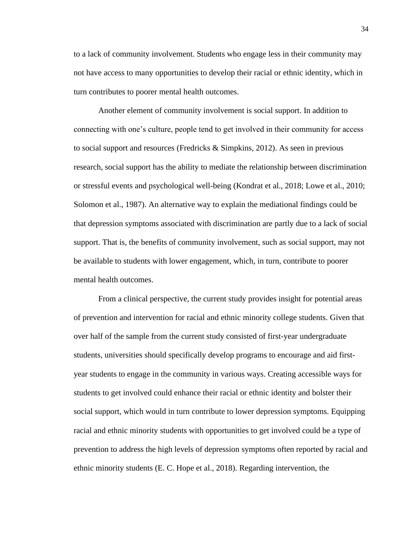to a lack of community involvement. Students who engage less in their community may not have access to many opportunities to develop their racial or ethnic identity, which in turn contributes to poorer mental health outcomes.

Another element of community involvement is social support. In addition to connecting with one's culture, people tend to get involved in their community for access to social support and resources (Fredricks & Simpkins, 2012). As seen in previous research, social support has the ability to mediate the relationship between discrimination or stressful events and psychological well-being (Kondrat et al., 2018; Lowe et al., 2010; Solomon et al., 1987). An alternative way to explain the mediational findings could be that depression symptoms associated with discrimination are partly due to a lack of social support. That is, the benefits of community involvement, such as social support, may not be available to students with lower engagement, which, in turn, contribute to poorer mental health outcomes.

From a clinical perspective, the current study provides insight for potential areas of prevention and intervention for racial and ethnic minority college students. Given that over half of the sample from the current study consisted of first-year undergraduate students, universities should specifically develop programs to encourage and aid firstyear students to engage in the community in various ways. Creating accessible ways for students to get involved could enhance their racial or ethnic identity and bolster their social support, which would in turn contribute to lower depression symptoms. Equipping racial and ethnic minority students with opportunities to get involved could be a type of prevention to address the high levels of depression symptoms often reported by racial and ethnic minority students (E. C. Hope et al., 2018). Regarding intervention, the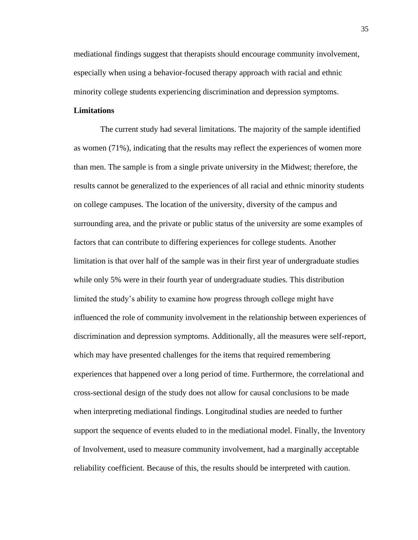mediational findings suggest that therapists should encourage community involvement, especially when using a behavior-focused therapy approach with racial and ethnic minority college students experiencing discrimination and depression symptoms.

#### **Limitations**

The current study had several limitations. The majority of the sample identified as women (71%), indicating that the results may reflect the experiences of women more than men. The sample is from a single private university in the Midwest; therefore, the results cannot be generalized to the experiences of all racial and ethnic minority students on college campuses. The location of the university, diversity of the campus and surrounding area, and the private or public status of the university are some examples of factors that can contribute to differing experiences for college students. Another limitation is that over half of the sample was in their first year of undergraduate studies while only 5% were in their fourth year of undergraduate studies. This distribution limited the study's ability to examine how progress through college might have influenced the role of community involvement in the relationship between experiences of discrimination and depression symptoms. Additionally, all the measures were self-report, which may have presented challenges for the items that required remembering experiences that happened over a long period of time. Furthermore, the correlational and cross-sectional design of the study does not allow for causal conclusions to be made when interpreting mediational findings. Longitudinal studies are needed to further support the sequence of events eluded to in the mediational model. Finally, the Inventory of Involvement, used to measure community involvement, had a marginally acceptable reliability coefficient. Because of this, the results should be interpreted with caution.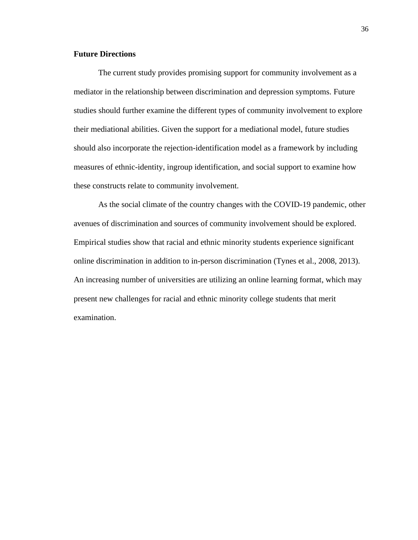## **Future Directions**

The current study provides promising support for community involvement as a mediator in the relationship between discrimination and depression symptoms. Future studies should further examine the different types of community involvement to explore their mediational abilities. Given the support for a mediational model, future studies should also incorporate the rejection-identification model as a framework by including measures of ethnic-identity, ingroup identification, and social support to examine how these constructs relate to community involvement.

As the social climate of the country changes with the COVID-19 pandemic, other avenues of discrimination and sources of community involvement should be explored. Empirical studies show that racial and ethnic minority students experience significant online discrimination in addition to in-person discrimination (Tynes et al., 2008, 2013). An increasing number of universities are utilizing an online learning format, which may present new challenges for racial and ethnic minority college students that merit examination.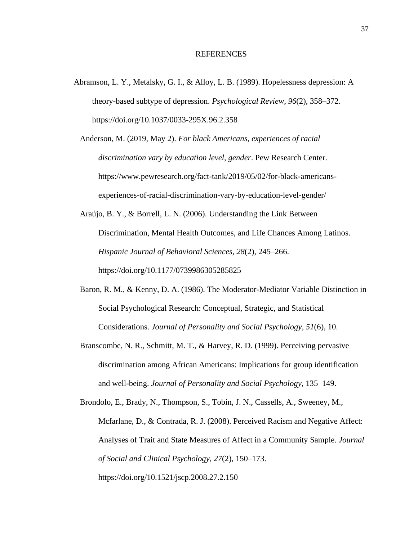#### REFERENCES

- Abramson, L. Y., Metalsky, G. I., & Alloy, L. B. (1989). Hopelessness depression: A theory-based subtype of depression. *Psychological Review*, *96*(2), 358–372. https://doi.org/10.1037/0033-295X.96.2.358
	- Anderson, M. (2019, May 2). *For black Americans, experiences of racial discrimination vary by education level, gender*. Pew Research Center. https://www.pewresearch.org/fact-tank/2019/05/02/for-black-americansexperiences-of-racial-discrimination-vary-by-education-level-gender/

Araújo, B. Y., & Borrell, L. N. (2006). Understanding the Link Between Discrimination, Mental Health Outcomes, and Life Chances Among Latinos. *Hispanic Journal of Behavioral Sciences*, *28*(2), 245–266. https://doi.org/10.1177/0739986305285825

- Baron, R. M., & Kenny, D. A. (1986). The Moderator-Mediator Variable Distinction in Social Psychological Research: Conceptual, Strategic, and Statistical Considerations. *Journal of Personality and Social Psychology*, *51*(6), 10.
- Branscombe, N. R., Schmitt, M. T., & Harvey, R. D. (1999). Perceiving pervasive discrimination among African Americans: Implications for group identification and well-being. *Journal of Personality and Social Psychology*, 135–149.
- Brondolo, E., Brady, N., Thompson, S., Tobin, J. N., Cassells, A., Sweeney, M., Mcfarlane, D., & Contrada, R. J. (2008). Perceived Racism and Negative Affect: Analyses of Trait and State Measures of Affect in a Community Sample. *Journal of Social and Clinical Psychology*, *27*(2), 150–173. https://doi.org/10.1521/jscp.2008.27.2.150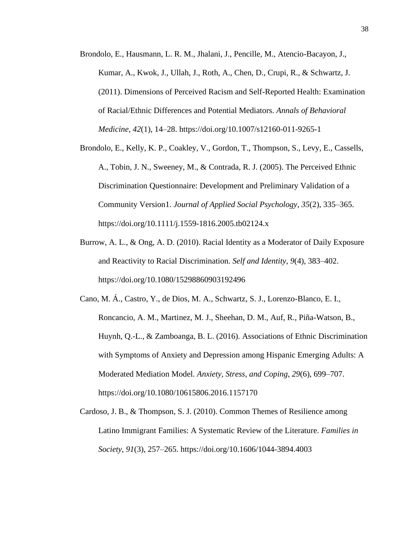- Brondolo, E., Hausmann, L. R. M., Jhalani, J., Pencille, M., Atencio-Bacayon, J., Kumar, A., Kwok, J., Ullah, J., Roth, A., Chen, D., Crupi, R., & Schwartz, J. (2011). Dimensions of Perceived Racism and Self-Reported Health: Examination of Racial/Ethnic Differences and Potential Mediators. *Annals of Behavioral Medicine*, *42*(1), 14–28. https://doi.org/10.1007/s12160-011-9265-1
- Brondolo, E., Kelly, K. P., Coakley, V., Gordon, T., Thompson, S., Levy, E., Cassells, A., Tobin, J. N., Sweeney, M., & Contrada, R. J. (2005). The Perceived Ethnic Discrimination Questionnaire: Development and Preliminary Validation of a Community Version1. *Journal of Applied Social Psychology*, *35*(2), 335–365. https://doi.org/10.1111/j.1559-1816.2005.tb02124.x
- Burrow, A. L., & Ong, A. D. (2010). Racial Identity as a Moderator of Daily Exposure and Reactivity to Racial Discrimination. *Self and Identity*, *9*(4), 383–402. https://doi.org/10.1080/15298860903192496
- Cano, M. Á., Castro, Y., de Dios, M. A., Schwartz, S. J., Lorenzo-Blanco, E. I., Roncancio, A. M., Martinez, M. J., Sheehan, D. M., Auf, R., Piña-Watson, B., Huynh, Q.-L., & Zamboanga, B. L. (2016). Associations of Ethnic Discrimination with Symptoms of Anxiety and Depression among Hispanic Emerging Adults: A Moderated Mediation Model. *Anxiety, Stress, and Coping*, *29*(6), 699–707. https://doi.org/10.1080/10615806.2016.1157170
- Cardoso, J. B., & Thompson, S. J. (2010). Common Themes of Resilience among Latino Immigrant Families: A Systematic Review of the Literature. *Families in Society*, *91*(3), 257–265. https://doi.org/10.1606/1044-3894.4003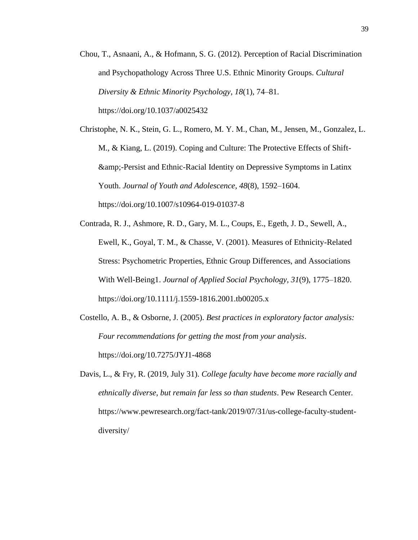Chou, T., Asnaani, A., & Hofmann, S. G. (2012). Perception of Racial Discrimination and Psychopathology Across Three U.S. Ethnic Minority Groups. *Cultural Diversity & Ethnic Minority Psychology*, *18*(1), 74–81. https://doi.org/10.1037/a0025432

Christophe, N. K., Stein, G. L., Romero, M. Y. M., Chan, M., Jensen, M., Gonzalez, L. M., & Kiang, L. (2019). Coping and Culture: The Protective Effects of Shift- &-Persist and Ethnic-Racial Identity on Depressive Symptoms in Latinx Youth. *Journal of Youth and Adolescence*, *48*(8), 1592–1604. https://doi.org/10.1007/s10964-019-01037-8

- Contrada, R. J., Ashmore, R. D., Gary, M. L., Coups, E., Egeth, J. D., Sewell, A., Ewell, K., Goyal, T. M., & Chasse, V. (2001). Measures of Ethnicity-Related Stress: Psychometric Properties, Ethnic Group Differences, and Associations With Well-Being1. *Journal of Applied Social Psychology*, *31*(9), 1775–1820. https://doi.org/10.1111/j.1559-1816.2001.tb00205.x
- Costello, A. B., & Osborne, J. (2005). *Best practices in exploratory factor analysis: Four recommendations for getting the most from your analysis*. https://doi.org/10.7275/JYJ1-4868
- Davis, L., & Fry, R. (2019, July 31). *College faculty have become more racially and ethnically diverse, but remain far less so than students*. Pew Research Center. https://www.pewresearch.org/fact-tank/2019/07/31/us-college-faculty-studentdiversity/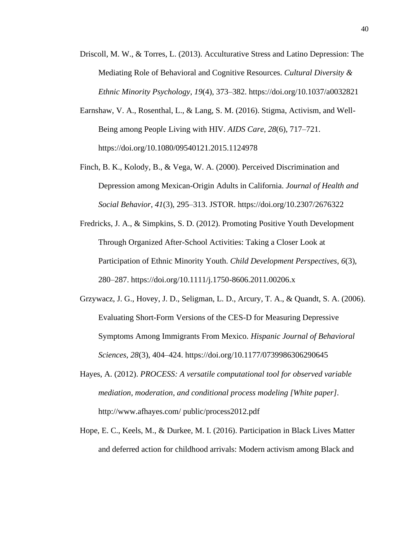- Driscoll, M. W., & Torres, L. (2013). Acculturative Stress and Latino Depression: The Mediating Role of Behavioral and Cognitive Resources. *Cultural Diversity & Ethnic Minority Psychology*, *19*(4), 373–382. https://doi.org/10.1037/a0032821
- Earnshaw, V. A., Rosenthal, L., & Lang, S. M. (2016). Stigma, Activism, and Well-Being among People Living with HIV. *AIDS Care*, *28*(6), 717–721. https://doi.org/10.1080/09540121.2015.1124978
- Finch, B. K., Kolody, B., & Vega, W. A. (2000). Perceived Discrimination and Depression among Mexican-Origin Adults in California. *Journal of Health and Social Behavior*, *41*(3), 295–313. JSTOR. https://doi.org/10.2307/2676322
- Fredricks, J. A., & Simpkins, S. D. (2012). Promoting Positive Youth Development Through Organized After-School Activities: Taking a Closer Look at Participation of Ethnic Minority Youth. *Child Development Perspectives*, *6*(3), 280–287. https://doi.org/10.1111/j.1750-8606.2011.00206.x
- Grzywacz, J. G., Hovey, J. D., Seligman, L. D., Arcury, T. A., & Quandt, S. A. (2006). Evaluating Short-Form Versions of the CES-D for Measuring Depressive Symptoms Among Immigrants From Mexico. *Hispanic Journal of Behavioral Sciences*, *28*(3), 404–424. https://doi.org/10.1177/0739986306290645
- Hayes, A. (2012). *PROCESS: A versatile computational tool for observed variable mediation, moderation, and conditional process modeling [White paper]*. http://www.afhayes.com/ public/process2012.pdf
- Hope, E. C., Keels, M., & Durkee, M. I. (2016). Participation in Black Lives Matter and deferred action for childhood arrivals: Modern activism among Black and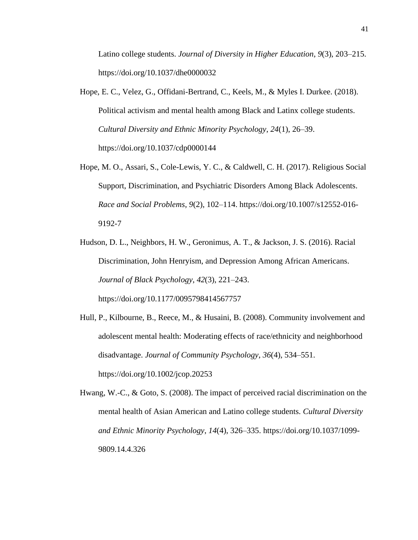Latino college students. *Journal of Diversity in Higher Education*, *9*(3), 203–215. https://doi.org/10.1037/dhe0000032

- Hope, E. C., Velez, G., Offidani-Bertrand, C., Keels, M., & Myles I. Durkee. (2018). Political activism and mental health among Black and Latinx college students. *Cultural Diversity and Ethnic Minority Psychology*, *24*(1), 26–39. https://doi.org/10.1037/cdp0000144
- Hope, M. O., Assari, S., Cole-Lewis, Y. C., & Caldwell, C. H. (2017). Religious Social Support, Discrimination, and Psychiatric Disorders Among Black Adolescents. *Race and Social Problems*, *9*(2), 102–114. https://doi.org/10.1007/s12552-016- 9192-7
- Hudson, D. L., Neighbors, H. W., Geronimus, A. T., & Jackson, J. S. (2016). Racial Discrimination, John Henryism, and Depression Among African Americans. *Journal of Black Psychology*, *42*(3), 221–243. https://doi.org/10.1177/0095798414567757
- Hull, P., Kilbourne, B., Reece, M., & Husaini, B. (2008). Community involvement and adolescent mental health: Moderating effects of race/ethnicity and neighborhood disadvantage. *Journal of Community Psychology*, *36*(4), 534–551. https://doi.org/10.1002/jcop.20253
- Hwang, W.-C., & Goto, S. (2008). The impact of perceived racial discrimination on the mental health of Asian American and Latino college students. *Cultural Diversity and Ethnic Minority Psychology*, *14*(4), 326–335. https://doi.org/10.1037/1099- 9809.14.4.326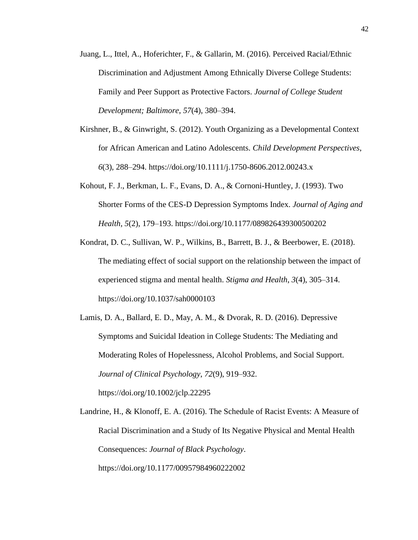- Juang, L., Ittel, A., Hoferichter, F., & Gallarin, M. (2016). Perceived Racial/Ethnic Discrimination and Adjustment Among Ethnically Diverse College Students: Family and Peer Support as Protective Factors. *Journal of College Student Development; Baltimore*, *57*(4), 380–394.
- Kirshner, B., & Ginwright, S. (2012). Youth Organizing as a Developmental Context for African American and Latino Adolescents. *Child Development Perspectives*, *6*(3), 288–294. https://doi.org/10.1111/j.1750-8606.2012.00243.x
- Kohout, F. J., Berkman, L. F., Evans, D. A., & Cornoni-Huntley, J. (1993). Two Shorter Forms of the CES-D Depression Symptoms Index. *Journal of Aging and Health*, *5*(2), 179–193. https://doi.org/10.1177/089826439300500202
- Kondrat, D. C., Sullivan, W. P., Wilkins, B., Barrett, B. J., & Beerbower, E. (2018). The mediating effect of social support on the relationship between the impact of experienced stigma and mental health. *Stigma and Health*, *3*(4), 305–314. https://doi.org/10.1037/sah0000103
- Lamis, D. A., Ballard, E. D., May, A. M., & Dvorak, R. D. (2016). Depressive Symptoms and Suicidal Ideation in College Students: The Mediating and Moderating Roles of Hopelessness, Alcohol Problems, and Social Support. *Journal of Clinical Psychology*, *72*(9), 919–932. https://doi.org/10.1002/jclp.22295

Landrine, H., & Klonoff, E. A. (2016). The Schedule of Racist Events: A Measure of Racial Discrimination and a Study of Its Negative Physical and Mental Health Consequences: *Journal of Black Psychology*. https://doi.org/10.1177/00957984960222002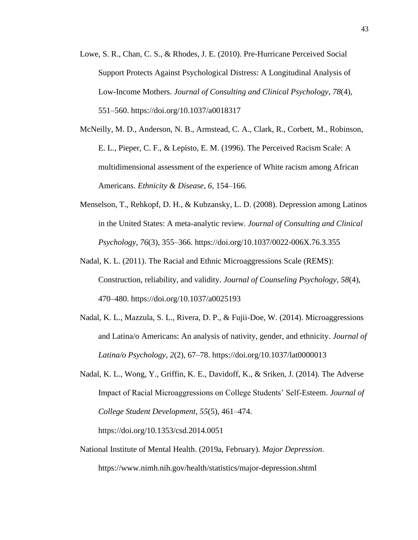- Lowe, S. R., Chan, C. S., & Rhodes, J. E. (2010). Pre-Hurricane Perceived Social Support Protects Against Psychological Distress: A Longitudinal Analysis of Low-Income Mothers. *Journal of Consulting and Clinical Psychology*, *78*(4), 551–560. https://doi.org/10.1037/a0018317
- McNeilly, M. D., Anderson, N. B., Armstead, C. A., Clark, R., Corbett, M., Robinson, E. L., Pieper, C. F., & Lepisto, E. M. (1996). The Perceived Racism Scale: A multidimensional assessment of the experience of White racism among African Americans. *Ethnicity & Disease*, *6*, 154–166.
- Menselson, T., Rehkopf, D. H., & Kubzansky, L. D. (2008). Depression among Latinos in the United States: A meta-analytic review. *Journal of Consulting and Clinical Psychology*, *76*(3), 355–366. https://doi.org/10.1037/0022-006X.76.3.355
- Nadal, K. L. (2011). The Racial and Ethnic Microaggressions Scale (REMS): Construction, reliability, and validity. *Journal of Counseling Psychology*, *58*(4), 470–480. https://doi.org/10.1037/a0025193
- Nadal, K. L., Mazzula, S. L., Rivera, D. P., & Fujii-Doe, W. (2014). Microaggressions and Latina/o Americans: An analysis of nativity, gender, and ethnicity. *Journal of Latina/o Psychology*, *2*(2), 67–78. https://doi.org/10.1037/lat0000013
- Nadal, K. L., Wong, Y., Griffin, K. E., Davidoff, K., & Sriken, J. (2014). The Adverse Impact of Racial Microaggressions on College Students' Self-Esteem. *Journal of College Student Development*, *55*(5), 461–474.

https://doi.org/10.1353/csd.2014.0051

National Institute of Mental Health. (2019a, February). *Major Depression*. https://www.nimh.nih.gov/health/statistics/major-depression.shtml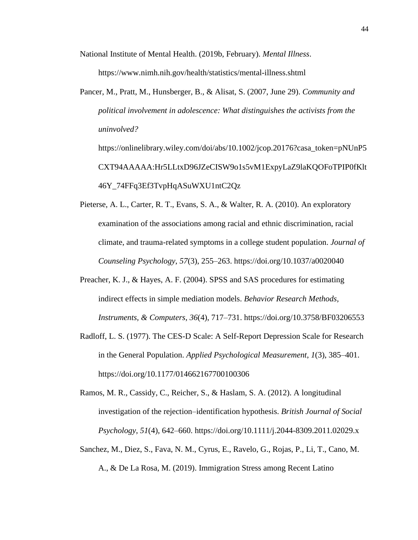National Institute of Mental Health. (2019b, February). *Mental Illness*.

https://www.nimh.nih.gov/health/statistics/mental-illness.shtml

Pancer, M., Pratt, M., Hunsberger, B., & Alisat, S. (2007, June 29). *Community and political involvement in adolescence: What distinguishes the activists from the uninvolved?*

https://onlinelibrary.wiley.com/doi/abs/10.1002/jcop.20176?casa\_token=pNUnP5 CXT94AAAAA:Hr5LLtxD96JZeCISW9o1s5vM1ExpyLaZ9laKQOFoTPIP0fKlt 46Y\_74FFq3Ef3TvpHqASuWXU1ntC2Qz

- Pieterse, A. L., Carter, R. T., Evans, S. A., & Walter, R. A. (2010). An exploratory examination of the associations among racial and ethnic discrimination, racial climate, and trauma-related symptoms in a college student population. *Journal of Counseling Psychology*, *57*(3), 255–263. https://doi.org/10.1037/a0020040
- Preacher, K. J., & Hayes, A. F. (2004). SPSS and SAS procedures for estimating indirect effects in simple mediation models. *Behavior Research Methods, Instruments, & Computers*, *36*(4), 717–731. https://doi.org/10.3758/BF03206553
- Radloff, L. S. (1977). The CES-D Scale: A Self-Report Depression Scale for Research in the General Population. *Applied Psychological Measurement*, *1*(3), 385–401. https://doi.org/10.1177/014662167700100306
- Ramos, M. R., Cassidy, C., Reicher, S., & Haslam, S. A. (2012). A longitudinal investigation of the rejection–identification hypothesis. *British Journal of Social Psychology*, *51*(4), 642–660. https://doi.org/10.1111/j.2044-8309.2011.02029.x
- Sanchez, M., Diez, S., Fava, N. M., Cyrus, E., Ravelo, G., Rojas, P., Li, T., Cano, M. A., & De La Rosa, M. (2019). Immigration Stress among Recent Latino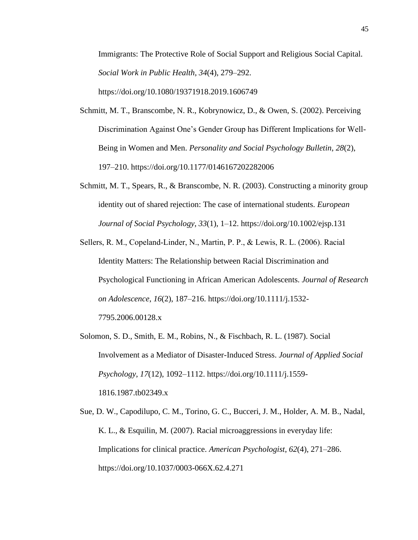Immigrants: The Protective Role of Social Support and Religious Social Capital. *Social Work in Public Health*, *34*(4), 279–292. https://doi.org/10.1080/19371918.2019.1606749

- Schmitt, M. T., Branscombe, N. R., Kobrynowicz, D., & Owen, S. (2002). Perceiving Discrimination Against One's Gender Group has Different Implications for Well-Being in Women and Men. *Personality and Social Psychology Bulletin*, *28*(2), 197–210. https://doi.org/10.1177/0146167202282006
- Schmitt, M. T., Spears, R., & Branscombe, N. R. (2003). Constructing a minority group identity out of shared rejection: The case of international students. *European Journal of Social Psychology*, *33*(1), 1–12. https://doi.org/10.1002/ejsp.131
- Sellers, R. M., Copeland‐Linder, N., Martin, P. P., & Lewis, R. L. (2006). Racial Identity Matters: The Relationship between Racial Discrimination and Psychological Functioning in African American Adolescents. *Journal of Research on Adolescence*, *16*(2), 187–216. https://doi.org/10.1111/j.1532- 7795.2006.00128.x
- Solomon, S. D., Smith, E. M., Robins, N., & Fischbach, R. L. (1987). Social Involvement as a Mediator of Disaster-Induced Stress. *Journal of Applied Social Psychology*, *17*(12), 1092–1112. https://doi.org/10.1111/j.1559- 1816.1987.tb02349.x
- Sue, D. W., Capodilupo, C. M., Torino, G. C., Bucceri, J. M., Holder, A. M. B., Nadal, K. L., & Esquilin, M. (2007). Racial microaggressions in everyday life: Implications for clinical practice. *American Psychologist*, *62*(4), 271–286. https://doi.org/10.1037/0003-066X.62.4.271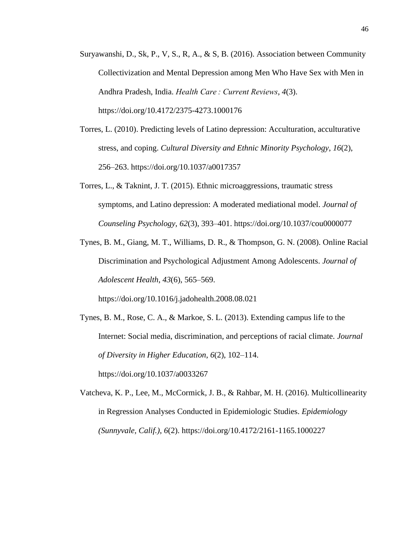- Suryawanshi, D., Sk, P., V, S., R, A., & S, B. (2016). Association between Community Collectivization and Mental Depression among Men Who Have Sex with Men in Andhra Pradesh, India. *Health Care : Current Reviews*, *4*(3). https://doi.org/10.4172/2375-4273.1000176
- Torres, L. (2010). Predicting levels of Latino depression: Acculturation, acculturative stress, and coping. *Cultural Diversity and Ethnic Minority Psychology*, *16*(2), 256–263. https://doi.org/10.1037/a0017357
- Torres, L., & Taknint, J. T. (2015). Ethnic microaggressions, traumatic stress symptoms, and Latino depression: A moderated mediational model. *Journal of Counseling Psychology*, *62*(3), 393–401. https://doi.org/10.1037/cou0000077
- Tynes, B. M., Giang, M. T., Williams, D. R., & Thompson, G. N. (2008). Online Racial Discrimination and Psychological Adjustment Among Adolescents. *Journal of Adolescent Health*, *43*(6), 565–569.

https://doi.org/10.1016/j.jadohealth.2008.08.021

- Tynes, B. M., Rose, C. A., & Markoe, S. L. (2013). Extending campus life to the Internet: Social media, discrimination, and perceptions of racial climate. *Journal of Diversity in Higher Education*, *6*(2), 102–114. https://doi.org/10.1037/a0033267
- Vatcheva, K. P., Lee, M., McCormick, J. B., & Rahbar, M. H. (2016). Multicollinearity in Regression Analyses Conducted in Epidemiologic Studies. *Epidemiology (Sunnyvale, Calif.)*, *6*(2). https://doi.org/10.4172/2161-1165.1000227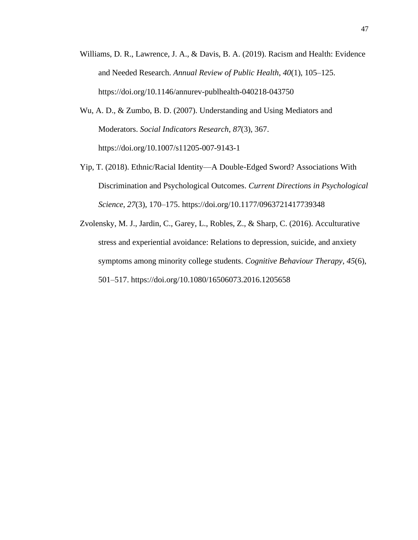- Williams, D. R., Lawrence, J. A., & Davis, B. A. (2019). Racism and Health: Evidence and Needed Research. *Annual Review of Public Health*, *40*(1), 105–125. https://doi.org/10.1146/annurev-publhealth-040218-043750
- Wu, A. D., & Zumbo, B. D. (2007). Understanding and Using Mediators and Moderators. *Social Indicators Research*, *87*(3), 367. https://doi.org/10.1007/s11205-007-9143-1
- Yip, T. (2018). Ethnic/Racial Identity—A Double-Edged Sword? Associations With Discrimination and Psychological Outcomes. *Current Directions in Psychological Science*, *27*(3), 170–175. https://doi.org/10.1177/0963721417739348
- Zvolensky, M. J., Jardin, C., Garey, L., Robles, Z., & Sharp, C. (2016). Acculturative stress and experiential avoidance: Relations to depression, suicide, and anxiety symptoms among minority college students. *Cognitive Behaviour Therapy*, *45*(6), 501–517. https://doi.org/10.1080/16506073.2016.1205658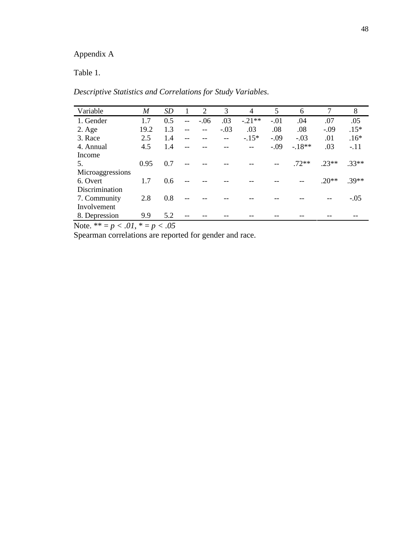# Appendix A

Table 1.

*Descriptive Statistics and Correlations for Study Variables.*

| Variable         | M    | <i>SD</i> |     | 2      | 3      | 4        | 5      | 6       | 7       | 8       |
|------------------|------|-----------|-----|--------|--------|----------|--------|---------|---------|---------|
| 1. Gender        | 1.7  | 0.5       | $-$ | $-.06$ | .03    | $-.21**$ | $-.01$ | .04     | .07     | .05     |
| $2. \text{Age}$  | 19.2 | 1.3       | $-$ | $-$    | $-.03$ | .03      | .08    | .08     | $-.09$  | $.15*$  |
| 3. Race          | 2.5  | 1.4       |     |        |        | $-.15*$  | $-.09$ | $-.03$  | .01     | $.16*$  |
| 4. Annual        | 4.5  | 1.4       |     |        |        |          | $-.09$ | $-18**$ | .03     | $-.11$  |
| Income           |      |           |     |        |        |          |        |         |         |         |
| 5.               | 0.95 | 0.7       |     |        |        |          |        | $72**$  | $.23**$ | $.33**$ |
| Microaggressions |      |           |     |        |        |          |        |         |         |         |
| 6. Overt         | 1.7  | 0.6       |     |        |        |          |        |         | $.20**$ | $.39**$ |
| Discrimination   |      |           |     |        |        |          |        |         |         |         |
| 7. Community     | 2.8  | 0.8       |     |        |        |          |        |         |         | $-.05$  |
| Involvement      |      |           |     |        |        |          |        |         |         |         |
| 8. Depression    | 9.9  | 5.2       |     |        |        |          |        |         |         |         |

Note. \*\* = *p < .01*, \* = *p < .05*

Spearman correlations are reported for gender and race.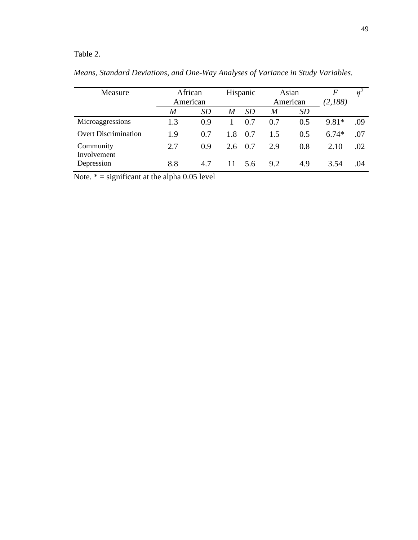# Table 2.

| Measure                     | African          |           | Hispanic<br>Asian |           |          | F         | $n^2$   |     |
|-----------------------------|------------------|-----------|-------------------|-----------|----------|-----------|---------|-----|
|                             | American         |           |                   |           | American |           | (2,188) |     |
|                             | $\boldsymbol{M}$ | <i>SD</i> | M                 | <i>SD</i> | M        | <b>SD</b> |         |     |
| Microaggressions            | 1.3              | 0.9       |                   | 0.7       | 0.7      | 0.5       | 9.81*   | .09 |
| <b>Overt Discrimination</b> | 1.9              | 0.7       | 1.8               | 0.7       | 1.5      | 0.5       | $6.74*$ | .07 |
| Community<br>Involvement    | 2.7              | 0.9       | 2.6               | 0.7       | 2.9      | 0.8       | 2.10    | .02 |
| Depression                  | 8.8              | 4.7       |                   | 5.6       | 9.2      | 4.9       | 3.54    | .04 |

*Means, Standard Deviations, and One-Way Analyses of Variance in Study Variables.* 

Note.  $* =$  significant at the alpha 0.05 level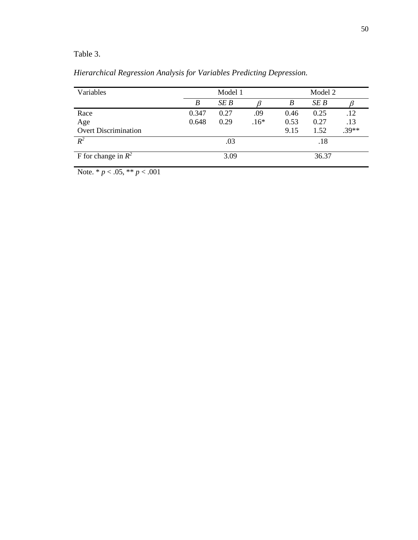# Table 3.

| Variables                   |       | Model 1 |        | Model 2 |      |         |  |
|-----------------------------|-------|---------|--------|---------|------|---------|--|
|                             | B     | SE B    |        | B       | SE B |         |  |
| Race                        | 0.347 | 0.27    | .09    | 0.46    | 0.25 | .12     |  |
| Age                         | 0.648 | 0.29    | $.16*$ | 0.53    | 0.27 | .13     |  |
| <b>Overt Discrimination</b> |       |         |        | 9.15    | 1.52 | $.39**$ |  |
| $R^2$                       |       | .03     |        | .18     |      |         |  |
| F for change in $R^2$       |       | 3.09    |        | 36.37   |      |         |  |

*Hierarchical Regression Analysis for Variables Predicting Depression.* 

Note. \* *p* < .05, \*\* *p* < .001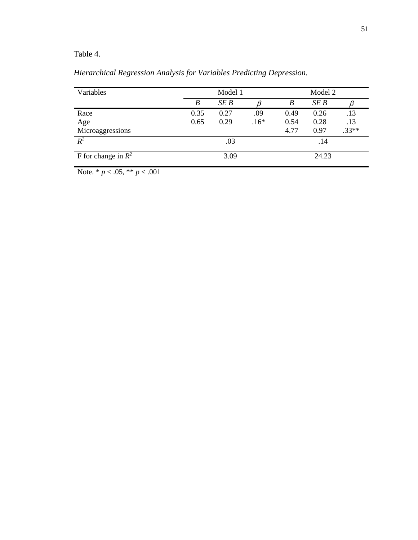# Table 4.

| Variables             |      | Model 1 | Model 2 |       |      |         |  |
|-----------------------|------|---------|---------|-------|------|---------|--|
|                       | B    | SE B    |         | B     | SE B |         |  |
| Race                  | 0.35 | 0.27    | .09     | 0.49  | 0.26 | .13     |  |
| Age                   | 0.65 | 0.29    | $.16*$  | 0.54  | 0.28 | .13     |  |
| Microaggressions      |      |         |         | 4.77  | 0.97 | $.33**$ |  |
| $R^2$                 |      | .03     |         | .14   |      |         |  |
| F for change in $R^2$ |      | 3.09    |         | 24.23 |      |         |  |

*Hierarchical Regression Analysis for Variables Predicting Depression.* 

Note. \* *p* < .05, \*\* *p* < .001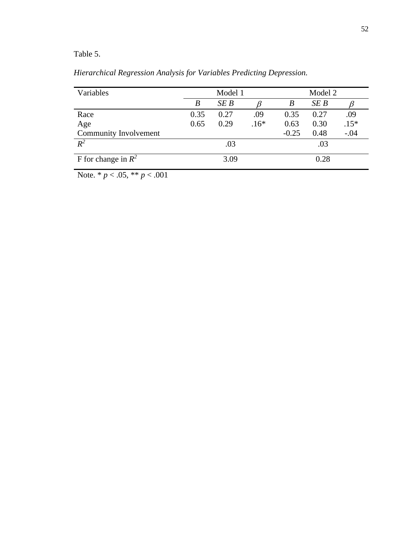# Table 5.

| Variables             |      | Model 1 |        |         | Model 2 |        |  |  |
|-----------------------|------|---------|--------|---------|---------|--------|--|--|
|                       | B    | SEB     |        | B       |         |        |  |  |
| Race                  | 0.35 | 0.27    | .09    | 0.35    | 0.27    | .09    |  |  |
| Age                   | 0.65 | 0.29    | $.16*$ | 0.63    | 0.30    | $.15*$ |  |  |
| Community Involvement |      |         |        | $-0.25$ | 0.48    | $-.04$ |  |  |
| $R^2$                 |      | .03     |        | .03     |         |        |  |  |
| F for change in $R^2$ |      | 3.09    |        | 0.28    |         |        |  |  |

*Hierarchical Regression Analysis for Variables Predicting Depression.* 

Note.  $* p < .05, ** p < .001$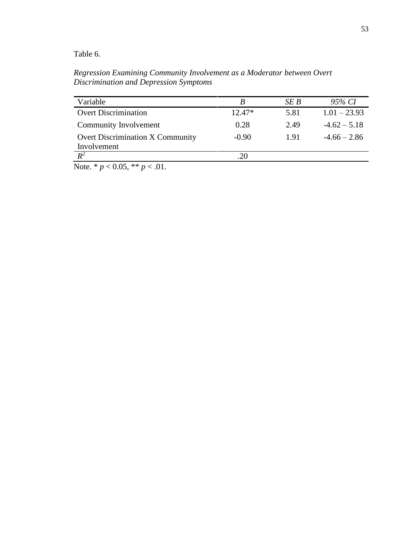Table 6.

*Regression Examining Community Involvement as a Moderator between Overt Discrimination and Depression Symptoms*

| Variable                                | B        | SE B | 95% CI         |
|-----------------------------------------|----------|------|----------------|
| <b>Overt Discrimination</b>             | $12.47*$ | 5.81 | $1.01 - 23.93$ |
| Community Involvement                   | 0.28     | 2.49 | $-4.62 - 5.18$ |
| <b>Overt Discrimination X Community</b> | $-0.90$  | 1.91 | $-4.66 - 2.86$ |
| Involvement                             |          |      |                |
| $R^2$                                   | .20      |      |                |

Note. \*  $p < 0.05$ , \*\*  $p < .01$ .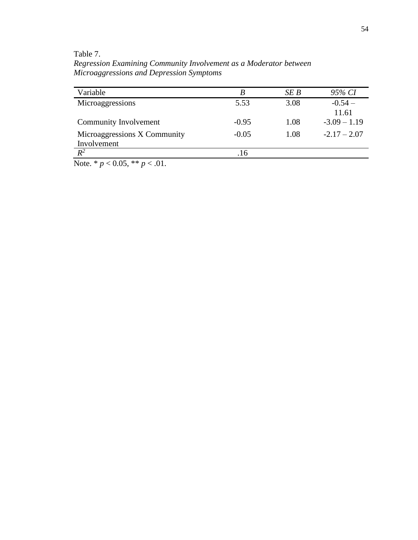Table 7.

*Regression Examining Community Involvement as a Moderator between Microaggressions and Depression Symptoms*

| Variable                     | B       | SE B | 95% CI         |
|------------------------------|---------|------|----------------|
| Microaggressions             | 5.53    | 3.08 | $-0.54-$       |
|                              |         |      | 11.61          |
| Community Involvement        | $-0.95$ | 1.08 | $-3.09 - 1.19$ |
| Microaggressions X Community | $-0.05$ | 1.08 | $-2.17 - 2.07$ |
| Involvement                  |         |      |                |
| $\overline{R^2}$             | .16     |      |                |

Note. \* *p* < 0.05, \*\* *p* < .01.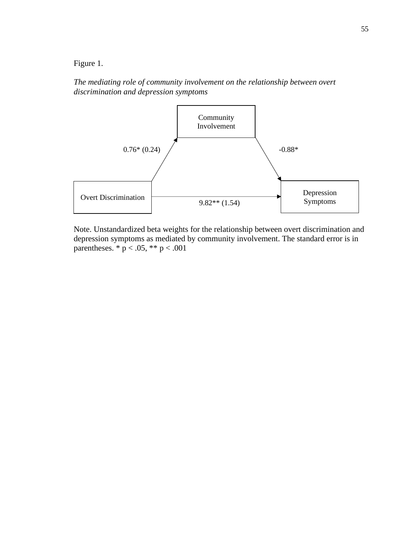Figure 1.

*The mediating role of community involvement on the relationship between overt discrimination and depression symptoms*



Note. Unstandardized beta weights for the relationship between overt discrimination and depression symptoms as mediated by community involvement. The standard error is in parentheses.  $* p < .05, ** p < .001$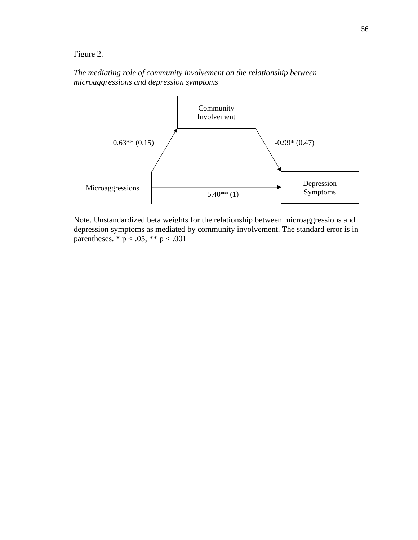Figure 2.

*The mediating role of community involvement on the relationship between microaggressions and depression symptoms*



Note. Unstandardized beta weights for the relationship between microaggressions and depression symptoms as mediated by community involvement. The standard error is in parentheses.  $* p < .05, ** p < .001$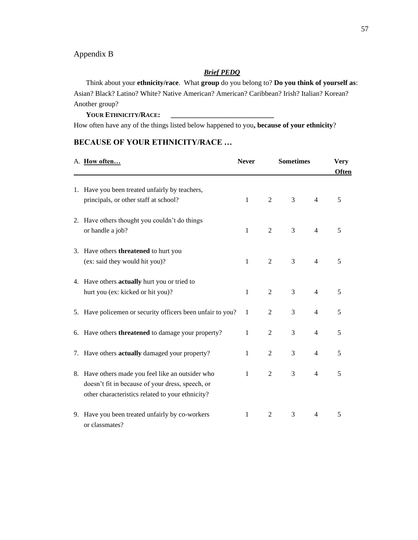### Appendix B

#### *Brief PEDQ*

Think about your **ethnicity/race**. What **group** do you belong to? **Do you think of yourself as**: Asian? Black? Latino? White? Native American? American? Caribbean? Irish? Italian? Korean? Another group?

#### **YOUR ETHNICITY/RACE: \_\_\_\_\_\_\_\_\_\_\_\_\_\_\_\_\_\_\_\_\_\_\_\_\_\_\_\_\_**

How often have any of the things listed below happened to you**, because of your ethnicity**?

# **BECAUSE OF YOUR ETHNICITY/RACE …**

| A. How often                                                                                                                                              | <b>Never</b> | <b>Sometimes</b> | <b>Very</b><br><b>Often</b> |                |   |
|-----------------------------------------------------------------------------------------------------------------------------------------------------------|--------------|------------------|-----------------------------|----------------|---|
| 1. Have you been treated unfairly by teachers,<br>principals, or other staff at school?                                                                   | 1            | 2                | 3                           | $\overline{4}$ | 5 |
| 2. Have others thought you couldn't do things<br>or handle a job?                                                                                         | $\mathbf{1}$ | 2                | 3                           | $\overline{4}$ | 5 |
| 3. Have others <b>threatened</b> to hurt you<br>(ex: said they would hit you)?                                                                            | $\mathbf{1}$ | 2                | 3                           | $\overline{4}$ | 5 |
| 4. Have others actually hurt you or tried to<br>hurt you (ex: kicked or hit you)?                                                                         | 1            | $\overline{2}$   | 3                           | $\overline{4}$ | 5 |
| 5. Have policemen or security officers been unfair to you?                                                                                                | 1            | $\overline{2}$   | 3                           | $\overline{4}$ | 5 |
| 6. Have others <b>threatened</b> to damage your property?                                                                                                 | 1            | 2                | 3                           | $\overline{4}$ | 5 |
| 7. Have others actually damaged your property?                                                                                                            | 1            | 2                | 3                           | $\overline{4}$ | 5 |
| 8. Have others made you feel like an outsider who<br>doesn't fit in because of your dress, speech, or<br>other characteristics related to your ethnicity? | $\mathbf{1}$ | $\overline{2}$   | 3                           | $\overline{4}$ | 5 |
| 9. Have you been treated unfairly by co-workers<br>or classmates?                                                                                         | 1            | 2                | 3                           | $\overline{4}$ | 5 |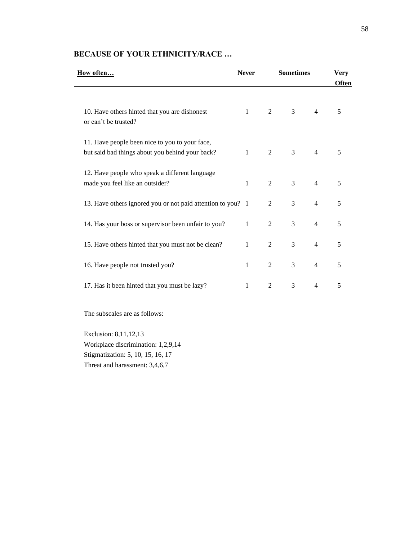| How often                                                                                         | <b>Never</b> | <b>Sometimes</b> |                |                | <b>Very</b><br><b>Often</b> |
|---------------------------------------------------------------------------------------------------|--------------|------------------|----------------|----------------|-----------------------------|
| 10. Have others hinted that you are dishonest<br>or can't be trusted?                             | $\mathbf{1}$ | 2                | 3              | $\overline{4}$ | 5                           |
| 11. Have people been nice to you to your face,<br>but said bad things about you behind your back? | $\mathbf{1}$ | 2                | 3              | $\overline{4}$ | 5                           |
| 12. Have people who speak a different language<br>made you feel like an outsider?                 | $\mathbf{1}$ | 2                | 3              | $\overline{4}$ | 5                           |
| 13. Have others ignored you or not paid attention to you? 1                                       |              | 2                | 3              | $\overline{4}$ | 5                           |
| 14. Has your boss or supervisor been unfair to you?                                               | 1            | 2                | 3              | $\overline{4}$ | 5                           |
| 15. Have others hinted that you must not be clean?                                                | 1            | 2                | 3              | $\overline{4}$ | 5                           |
| 16. Have people not trusted you?                                                                  | 1            | 2                | $\overline{3}$ | $\overline{4}$ | 5                           |
| 17. Has it been hinted that you must be lazy?                                                     | 1            | 2                | 3              | $\overline{4}$ | 5                           |

# **BECAUSE OF YOUR ETHNICITY/RACE …**

The subscales are as follows:

Exclusion: 8,11,12,13 Workplace discrimination: 1,2,9,14 Stigmatization: 5, 10, 15, 16, 17 Threat and harassment: 3,4,6,7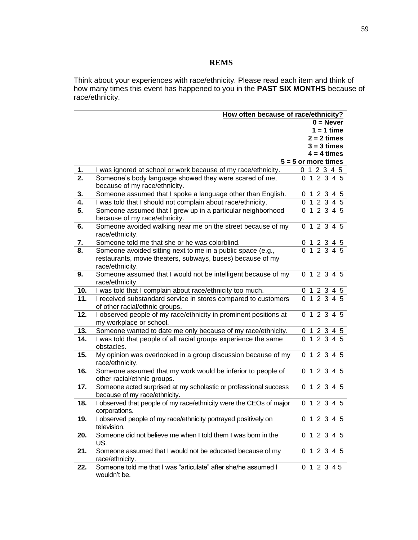## **REMS**

Think about your experiences with race/ethnicity. Please read each item and think of how many times this event has happened to you in the **PAST SIX MONTHS** because of race/ethnicity.

|     | How often because of race/ethnicity?                                                                                                         |                       |
|-----|----------------------------------------------------------------------------------------------------------------------------------------------|-----------------------|
|     |                                                                                                                                              | $0 =$ Never           |
|     |                                                                                                                                              | $1 = 1$ time          |
|     |                                                                                                                                              | $2 = 2 \times$        |
|     |                                                                                                                                              | $3 = 3$ times         |
|     |                                                                                                                                              | $4 = 4$ times         |
|     |                                                                                                                                              | $5 = 5$ or more times |
| 1.  | I was ignored at school or work because of my race/ethnicity.                                                                                | 0 1 2 3 4 5           |
| 2.  | Someone's body language showed they were scared of me,<br>because of my race/ethnicity.                                                      | 0 1 2 3 4 5           |
| 3.  | Someone assumed that I spoke a language other than English.                                                                                  | 0 1 2 3 4 5           |
| 4.  | I was told that I should not complain about race/ethnicity.                                                                                  | 0 1 2 3 4 5           |
| 5.  | Someone assumed that I grew up in a particular neighborhood<br>because of my race/ethnicity.                                                 | 0 1 2 3 4 5           |
| 6.  | Someone avoided walking near me on the street because of my<br>race/ethnicity.                                                               | 0 1 2 3 4 5           |
| 7.  | Someone told me that she or he was colorblind.                                                                                               | 0 1 2 3 4 5           |
| 8.  | Someone avoided sitting next to me in a public space (e.g.,<br>restaurants, movie theaters, subways, buses) because of my<br>race/ethnicity. | 0 1 2 3 4 5           |
| 9.  | Someone assumed that I would not be intelligent because of my<br>race/ethnicity.                                                             | 0 1 2 3 4 5           |
| 10. | I was told that I complain about race/ethnicity too much.                                                                                    | 0 1 2 3 4 5           |
| 11. | I received substandard service in stores compared to customers<br>of other racial/ethnic groups.                                             | 0 1 2 3 4 5           |
| 12. | I observed people of my race/ethnicity in prominent positions at<br>my workplace or school.                                                  | 0 1 2 3 4 5           |
| 13. | Someone wanted to date me only because of my race/ethnicity.                                                                                 | 0 1 2 3 4 5           |
| 14. | I was told that people of all racial groups experience the same<br>obstacles.                                                                | 0 1 2 3 4 5           |
| 15. | My opinion was overlooked in a group discussion because of my<br>race/ethnicity.                                                             | 0 1 2 3 4 5           |
| 16. | Someone assumed that my work would be inferior to people of<br>other racial/ethnic groups.                                                   | 0 1 2 3 4 5           |
| 17. | Someone acted surprised at my scholastic or professional success<br>because of my race/ethnicity.                                            | 0 1 2 3 4 5           |
| 18. | I observed that people of my race/ethnicity were the CEOs of major<br>corporations.                                                          | 0 1 2 3 4 5           |
| 19. | I observed people of my race/ethnicity portrayed positively on<br>television.                                                                | 0 1 2 3 4 5           |
| 20. | Someone did not believe me when I told them I was born in the<br>US.                                                                         | 0 1 2 3 4 5           |
| 21. | Someone assumed that I would not be educated because of my<br>race/ethnicity.                                                                | 0 1 2 3 4 5           |
| 22. | Someone told me that I was "articulate" after she/he assumed I<br>wouldn't be.                                                               | 0 1 2 3 4 5           |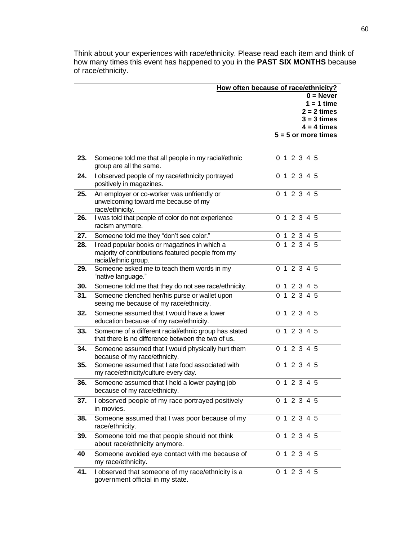Think about your experiences with race/ethnicity. Please read each item and think of how many times this event has happened to you in the **PAST SIX MONTHS** because of race/ethnicity.

|     | How often because of race/ethnicity?                  |             |  |  |                          |  |                                 |
|-----|-------------------------------------------------------|-------------|--|--|--------------------------|--|---------------------------------|
|     |                                                       | $0 =$ Never |  |  |                          |  |                                 |
|     |                                                       |             |  |  |                          |  | $1 = 1$ time                    |
|     |                                                       |             |  |  |                          |  | $2 = 2 \times 1$                |
|     |                                                       |             |  |  |                          |  | $3 = 3$ times<br>$4 = 4 \times$ |
|     |                                                       |             |  |  |                          |  | $5 = 5$ or more times           |
|     |                                                       |             |  |  |                          |  |                                 |
|     |                                                       |             |  |  |                          |  |                                 |
| 23. | Someone told me that all people in my racial/ethnic   |             |  |  | 0 1 2 3 4 5              |  |                                 |
|     | group are all the same.                               |             |  |  |                          |  |                                 |
| 24. | I observed people of my race/ethnicity portrayed      |             |  |  | 0 1 2 3 4 5              |  |                                 |
|     | positively in magazines.                              |             |  |  |                          |  |                                 |
| 25. | An employer or co-worker was unfriendly or            |             |  |  | 0 1 2 3 4 5              |  |                                 |
|     | unwelcoming toward me because of my                   |             |  |  |                          |  |                                 |
|     | race/ethnicity.                                       |             |  |  |                          |  |                                 |
| 26. | I was told that people of color do not experience     |             |  |  | 0 1 2 3 4 5              |  |                                 |
|     | racism anymore.                                       |             |  |  |                          |  |                                 |
| 27. | Someone told me they "don't see color."               |             |  |  | 0 1 2 3 4 5              |  |                                 |
| 28. | I read popular books or magazines in which a          |             |  |  | 0 1 2 3 4 5              |  |                                 |
|     | majority of contributions featured people from my     |             |  |  |                          |  |                                 |
|     | racial/ethnic group.                                  |             |  |  |                          |  |                                 |
| 29. | Someone asked me to teach them words in my            |             |  |  | 0 1 2 3 4 5              |  |                                 |
|     | "native language."                                    |             |  |  |                          |  |                                 |
| 30. | Someone told me that they do not see race/ethnicity.  |             |  |  | 0 1 2 3 4 5              |  |                                 |
| 31. | Someone clenched her/his purse or wallet upon         |             |  |  | $\overline{0}$ 1 2 3 4 5 |  |                                 |
|     | seeing me because of my race/ethnicity.               |             |  |  |                          |  |                                 |
| 32. | Someone assumed that I would have a lower             |             |  |  | 0 1 2 3 4 5              |  |                                 |
|     | education because of my race/ethnicity.               |             |  |  |                          |  |                                 |
| 33. | Someone of a different racial/ethnic group has stated |             |  |  | 0 1 2 3 4 5              |  |                                 |
|     | that there is no difference between the two of us.    |             |  |  |                          |  |                                 |
| 34. | Someone assumed that I would physically hurt them     |             |  |  | 0 1 2 3 4 5              |  |                                 |
|     | because of my race/ethnicity.                         |             |  |  |                          |  |                                 |
| 35. | Someone assumed that I ate food associated with       |             |  |  | 0 1 2 3 4 5              |  |                                 |
|     | my race/ethnicity/culture every day.                  |             |  |  |                          |  |                                 |
| 36. | Someone assumed that I held a lower paying job        |             |  |  | 0 1 2 3 4 5              |  |                                 |
|     | because of my race/ethnicity.                         |             |  |  |                          |  |                                 |
| 37. | I observed people of my race portrayed positively     |             |  |  | 0 1 2 3 4 5              |  |                                 |
|     | in movies.                                            |             |  |  |                          |  |                                 |
| 38. | Someone assumed that I was poor because of my         |             |  |  | 0 1 2 3 4 5              |  |                                 |
|     | race/ethnicity.                                       |             |  |  |                          |  |                                 |
| 39. | Someone told me that people should not think          |             |  |  | $\overline{0}$ 1 2 3 4 5 |  |                                 |
|     | about race/ethnicity anymore.                         |             |  |  |                          |  |                                 |
| 40  | Someone avoided eye contact with me because of        |             |  |  | 0 1 2 3 4 5              |  |                                 |
|     | my race/ethnicity.                                    |             |  |  |                          |  |                                 |
| 41. | I observed that someone of my race/ethnicity is a     |             |  |  | 0 1 2 3 4 5              |  |                                 |
|     | government official in my state.                      |             |  |  |                          |  |                                 |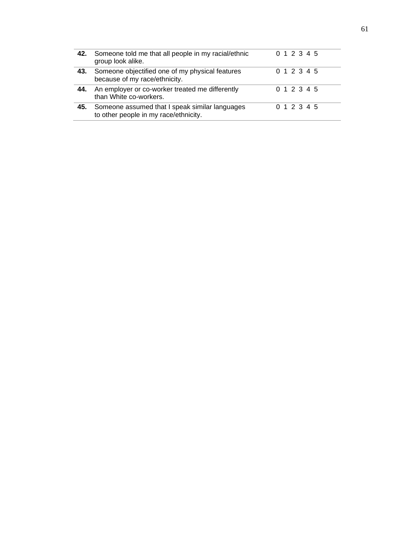|     | 42. Someone told me that all people in my racial/ethnic<br>group look alike.            | 0 1 2 3 4 5 |
|-----|-----------------------------------------------------------------------------------------|-------------|
| 43. | Someone objectified one of my physical features<br>because of my race/ethnicity.        | 0 1 2 3 4 5 |
| 44. | An employer or co-worker treated me differently<br>than White co-workers.               | 0 1 2 3 4 5 |
| 45. | Someone assumed that I speak similar languages<br>to other people in my race/ethnicity. | 0 1 2 3 4 5 |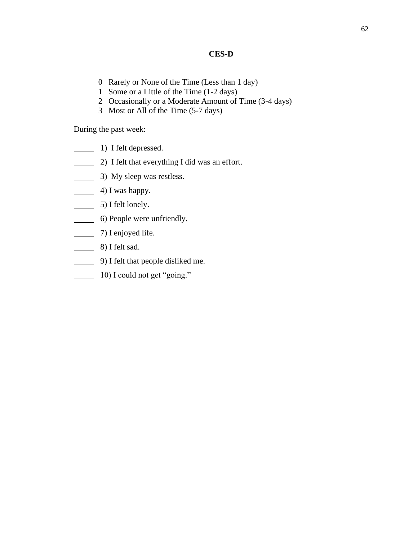# **CES-D**

- 0 Rarely or None of the Time (Less than 1 day)
- 1 Some or a Little of the Time (1-2 days)
- 2 Occasionally or a Moderate Amount of Time (3-4 days)
- 3 Most or All of the Time (5-7 days)

During the past week:

- 1) I felt depressed.
- 2) I felt that everything I did was an effort.
- 3) My sleep was restless.
- $\frac{4}{1}$  Was happy.
- $\frac{1}{\sqrt{5}}$  5) I felt lonely.
- 6) People were unfriendly.
- 7) I enjoyed life.
- 8) I felt sad.
- 9) I felt that people disliked me.
- 10) I could not get "going."